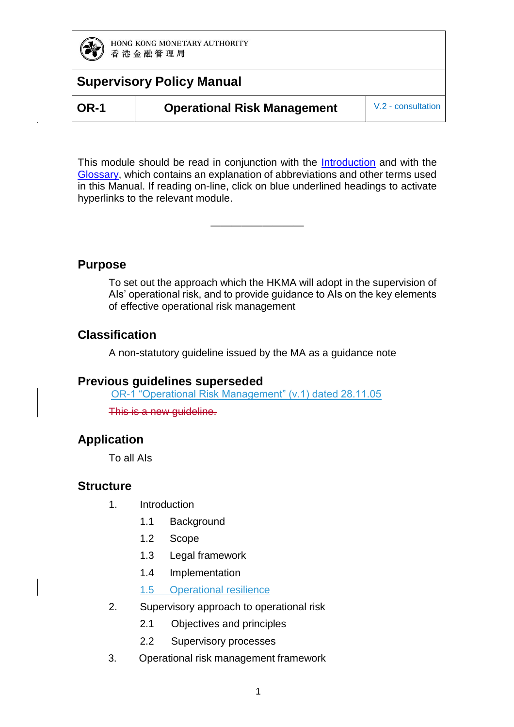

**OR-1 Operational Risk Management** V.2 - consultation

This module should be read in conjunction with the **Introduction** and with the [Glossary,](https://www.hkma.gov.hk/media/eng/doc/key-functions/banking-stability/supervisory-policy-manual/GL.pdf) which contains an explanation of abbreviations and other terms used in this Manual. If reading on-line, click on blue underlined headings to activate hyperlinks to the relevant module.

—————————

#### **Purpose**

To set out the approach which the HKMA will adopt in the supervision of AIs' operational risk, and to provide guidance to AIs on the key elements of effective operational risk management

#### **Classification**

A non-statutory guideline issued by the MA as a guidance note

#### **Previous guidelines superseded**

OR-1 "Operational Risk Management" (v.1) dated 28.11.05

This is a new guideline.

#### **Application**

To all AIs

#### **Structure**

- 1. Introduction
	- 1.1 Background
	- 1.2 Scope
	- 1.3 Legal framework
	- 1.4 Implementation
	- 1.5 Operational resilience
- 2. Supervisory approach to operational risk
	- 2.1 Objectives and principles
	- 2.2 Supervisory processes
- 3. Operational risk management framework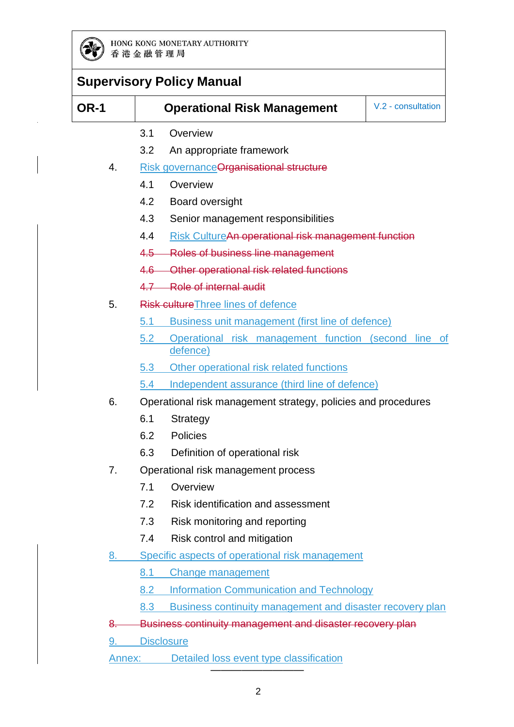

| OR-1 | V.2 - consultation<br><b>Operational Risk Management</b>                |  |
|------|-------------------------------------------------------------------------|--|
|      | 3.1<br>Overview                                                         |  |
|      | 3.2<br>An appropriate framework                                         |  |
| 4.   | <b>Risk governance Organisational structure</b>                         |  |
|      | 4.1<br>Overview                                                         |  |
|      | 4.2<br>Board oversight                                                  |  |
|      | 4.3<br>Senior management responsibilities                               |  |
|      | 4.4<br>Risk CultureAn operational risk management function              |  |
|      | 4.5 Roles of business line management                                   |  |
|      | Other operational risk related functions<br>$4.6 -$                     |  |
|      | 4.7 Role of internal audit                                              |  |
| 5.   | Risk culture Three lines of defence                                     |  |
|      | Business unit management (first line of defence)<br>5.1                 |  |
|      | 5.2<br>Operational risk management function (second line of<br>defence) |  |
|      | Other operational risk related functions<br>5.3                         |  |
|      | Independent assurance (third line of defence)<br>5.4                    |  |
| 6.   | Operational risk management strategy, policies and procedures           |  |
|      | 6.1<br>Strategy                                                         |  |
|      | 6.2<br><b>Policies</b>                                                  |  |
|      | 6.3<br>Definition of operational risk                                   |  |
| 7.   | Operational risk management process                                     |  |
|      | 7.1<br>Overview                                                         |  |
|      | 7.2<br>Risk identification and assessment                               |  |
|      | 7.3<br>Risk monitoring and reporting                                    |  |
|      | Risk control and mitigation<br>7.4                                      |  |
| 8.   | Specific aspects of operational risk management                         |  |
|      | 8.1<br><b>Change management</b>                                         |  |
|      | <b>Information Communication and Technology</b><br>8.2                  |  |
|      | 8.3<br>Business continuity management and disaster recovery plan        |  |
| ୫.   | Business continuity management and disaster recovery plan               |  |

9. Disclosure

Annex: Detailed loss event type classification

—————————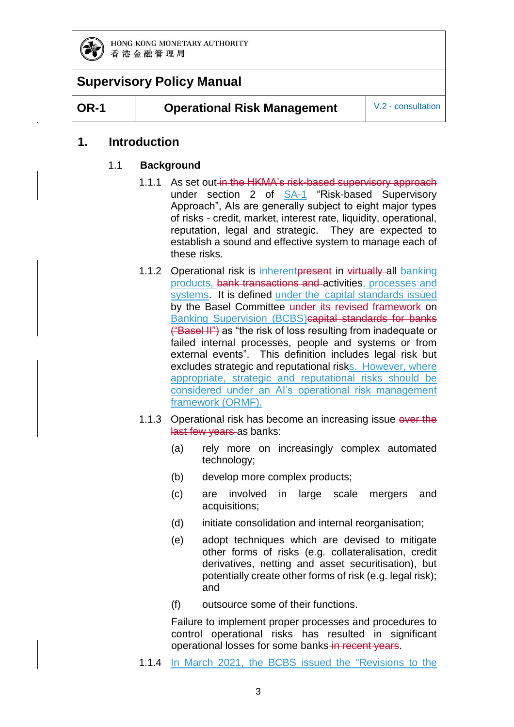

**OR-1 Operational Risk Management** V.2 - consultation

#### **1. Introduction**

#### 1.1 **Background**

- 1.1.1 As set out in the HKMA's risk-based supervisory approach under section 2 of [SA-1](https://www.hkma.gov.hk/media/eng/doc/key-functions/banking-stability/supervisory-policy-manual/SA-1.pdf) "Risk-based Supervisory Approach", AIs are generally subject to eight major types of risks - credit, market, interest rate, liquidity, operational, reputation, legal and strategic. They are expected to establish a sound and effective system to manage each of these risks.
- 1.1.2 Operational risk is inherent present in virtually all banking products, bank transactions and activities, processes and systems. It is defined under the capital standards issued by the Basel Committee under its revised framework on Banking Supervision (BCBS)capital standards for banks ("Basel II") as "the risk of loss resulting from inadequate or failed internal processes, people and systems or from external events". This definition includes legal risk but excludes strategic and reputational risks. However, where appropriate, strategic and reputational risks should be considered under an AI's operational risk management framework (ORMF).
- 1.1.3 Operational risk has become an increasing issue over the last few years as banks:
	- (a) rely more on increasingly complex automated technology;
	- (b) develop more complex products;
	- (c) are involved in large scale mergers and acquisitions;
	- (d) initiate consolidation and internal reorganisation;
	- (e) adopt techniques which are devised to mitigate other forms of risks (e.g. collateralisation, credit derivatives, netting and asset securitisation), but potentially create other forms of risk (e.g. legal risk); and
	- (f) outsource some of their functions.

Failure to implement proper processes and procedures to control operational risks has resulted in significant operational losses for some banks-in recent years.

1.1.4 In March 2021, the BCBS issued the "Revisions to the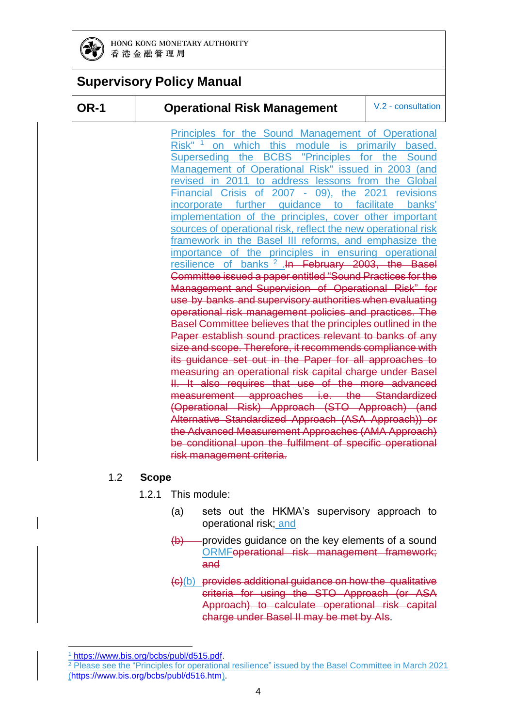

#### **OR-1 Operational Risk Management** V.2 - consultation

Principles for the Sound Management of Operational Risk"<sup>1</sup> on which this module is primarily based. Superseding the BCBS "Principles for the Sound Management of Operational Risk" issued in 2003 (and revised in 2011 to address lessons from the Global Financial Crisis of 2007 - 09), the 2021 revisions incorporate further guidance to facilitate banks' implementation of the principles, cover other important sources of operational risk, reflect the new operational risk framework in the Basel III reforms, and emphasize the importance of the principles in ensuring operational resilience of banks<sup>2</sup> In February 2003, the Basel Committee issued a paper entitled "Sound Practices for the Management and Supervision of Operational Risk" for use by banks and supervisory authorities when evaluating operational risk management policies and practices. The Basel Committee believes that the principles outlined in the Paper establish sound practices relevant to banks of any size and scope. Therefore, it recommends compliance with its guidance set out in the Paper for all approaches to measuring an operational risk capital charge under Basel II. It also requires that use of the more advanced measurement approaches i.e. the Standardized (Operational Risk) Approach (STO Approach) (and Alternative Standardized Approach (ASA Approach)) or the Advanced Measurement Approaches (AMA Approach) be conditional upon the fulfilment of specific operational risk management criteria.

#### 1.2 **Scope**

- 1.2.1 This module:
	- (a) sets out the HKMA's supervisory approach to operational risk; and
	- $(b)$  provides guidance on the key elements of a sound ORMFoperational risk management framework; and
	- (c)(b) provides additional guidance on how the qualitative criteria for using the STO Approach (or ASA Approach) to calculate operational risk capital charge under Basel II may be met by AIs.

-

<sup>1</sup> [https://www.bis.org/bcbs/publ/d515.pdf.](https://www.bis.org/bcbs/publ/d515.pdf)

<sup>&</sup>lt;sup>2</sup> Please see the "Principles for operational resilience" issued by the Basel Committee in March 2021 [\(https://www.bis.org/bcbs/publ/d516.htm\)](https://www.bis.org/bcbs/publ/d516.htm).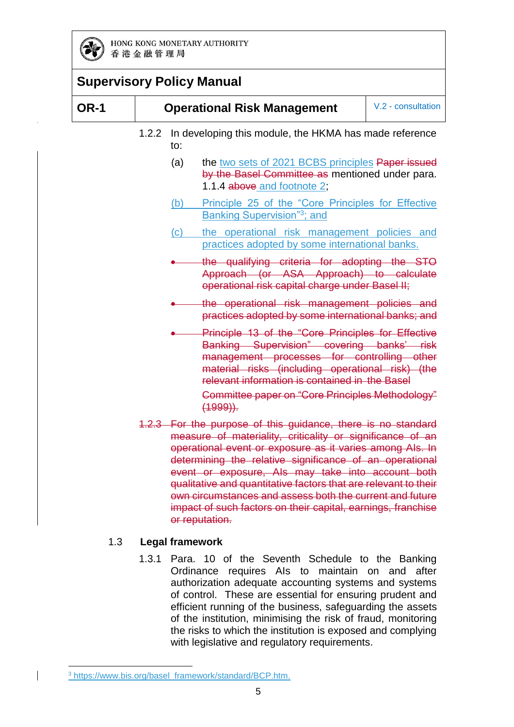

|             |       |     | <b>Supervisory Policy Manual</b>                                                                                                                                                                                                                    |                    |
|-------------|-------|-----|-----------------------------------------------------------------------------------------------------------------------------------------------------------------------------------------------------------------------------------------------------|--------------------|
| <b>OR-1</b> |       |     | <b>Operational Risk Management</b>                                                                                                                                                                                                                  | V.2 - consultation |
|             | 1.2.2 | to: | In developing this module, the HKMA has made reference                                                                                                                                                                                              |                    |
|             |       | (a) | the two sets of 2021 BCBS principles Paper issued<br>by the Basel Committee as mentioned under para.<br>1.1.4 above and footnote 2;                                                                                                                 |                    |
|             |       | (b) | Principle 25 of the "Core Principles for Effective<br><b>Banking Supervision</b> "3; and                                                                                                                                                            |                    |
|             |       | (c) | the operational risk management policies and<br>practices adopted by some international banks.                                                                                                                                                      |                    |
|             |       |     | the qualifying criteria for adopting the STO<br>Approach (or ASA Approach) to calculate<br>operational risk capital charge under Basel II;                                                                                                          |                    |
|             |       |     | the operational risk management policies and<br>practices adopted by some international banks; and                                                                                                                                                  |                    |
|             |       |     | Principle 13 of the "Core Principles for Effective<br>Banking Supervision" covering banks' risk<br>management processes for controlling other<br>material risks (including operational risk) (the<br>relevant information is contained in the Basel |                    |
|             |       |     | Committee paper on "Core Principles Methodology"<br>$(1999)$ .                                                                                                                                                                                      |                    |
|             |       |     | 1.2.3 For the purpose of this guidance, there is no standard<br>measure of materiality, criticality or significance of an<br>operational event or exposure as it varies among Als. In                                                               |                    |

operational event or exposure as it varies among AIs. In determining the relative significance of an operational event or exposure, AIs may take into account both qualitative and quantitative factors that are relevant to their own circumstances and assess both the current and future impact of such factors on their capital, earnings, franchise or reputation.

#### 1.3 **Legal framework**

1.3.1 Para. 10 of the Seventh Schedule to the Banking Ordinance requires AIs to maintain on and after authorization adequate accounting systems and systems of control. These are essential for ensuring prudent and efficient running of the business, safeguarding the assets of the institution, minimising the risk of fraud, monitoring the risks to which the institution is exposed and complying with legislative and regulatory requirements.

<sup>-</sup><sup>3</sup> [https://www.bis.org/basel\\_framework/standard/BCP.htm.](https://www.bis.org/basel_framework/standard/BCP.htm)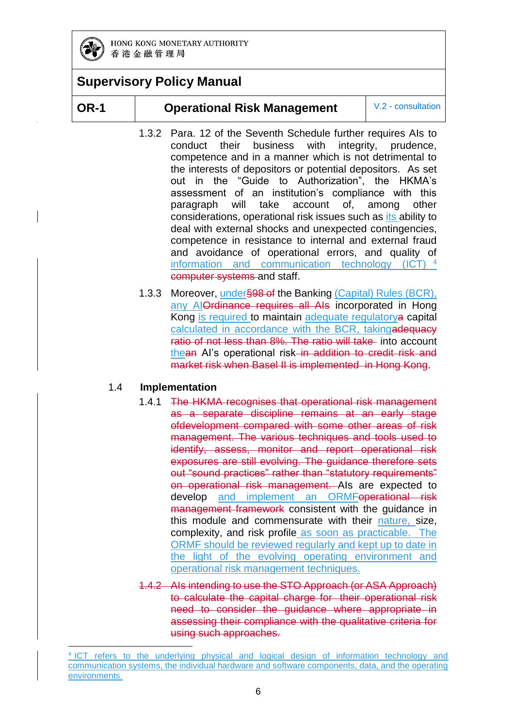

#### **OR-1 Operational Risk Management** V.2 - consultation

- 1.3.2 Para. 12 of the Seventh Schedule further requires AIs to conduct their business with integrity, prudence, competence and in a manner which is not detrimental to the interests of depositors or potential depositors. As set out in the "Guide to Authorization", the HKMA's assessment of an institution's compliance with this paragraph will take account of, among other considerations, operational risk issues such as its ability to deal with external shocks and unexpected contingencies, competence in resistance to internal and external fraud and avoidance of operational errors, and quality of information and communication technology (ICT)<sup>4</sup> computer systems and staff.
- 1.3.3 Moreover, under§98 of the Banking (Capital) Rules (BCR), any AlOrdinance requires all Als incorporated in Hong Kong is required to maintain adequate regulatorya capital calculated in accordance with the BCR, takingadequacy ratio of not less than 8%. The ratio will take into account thean AI's operational risk in addition to credit risk and market risk when Basel II is implemented in Hong Kong.

#### 1.4 **Implementation**

- 1.4.1 The HKMA recognises that operational risk management as a separate discipline remains at an early stage ofdevelopment compared with some other areas of risk management. The various techniques and tools used to identify, assess, monitor and report operational risk exposures are still evolving. The guidance therefore sets out "sound practices" rather than "statutory requirements" on operational risk management. AIs are expected to develop and implement an ORMFoperational risk management framework consistent with the guidance in this module and commensurate with their nature, size, complexity, and risk profile as soon as practicable. The ORMF should be reviewed regularly and kept up to date in the light of the evolving operating environment and operational risk management techniques.
- 1.4.2 AIs intending to use the STO Approach (or ASA Approach) to calculate the capital charge for their operational risk need to consider the guidance where appropriate in assessing their compliance with the qualitative criteria for using such approaches.

<sup>-</sup>4 ICT refers to the underlying physical and logical design of information technology and communication systems, the individual hardware and software components, data, and the operating environments.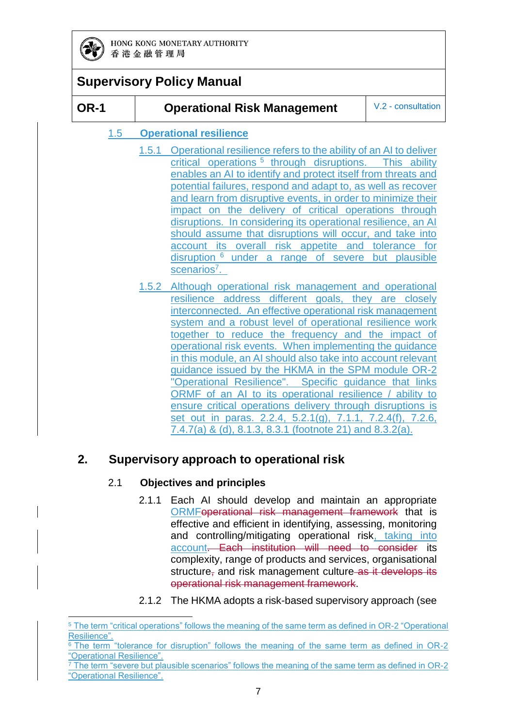

-

|             | <b>Supervisory Policy Manual</b>  |                                                                                                                                                                                                                                                                                                                                                                                                                                                                                                                                                                                                                                                                                                                                                                                           |                    |
|-------------|-----------------------------------|-------------------------------------------------------------------------------------------------------------------------------------------------------------------------------------------------------------------------------------------------------------------------------------------------------------------------------------------------------------------------------------------------------------------------------------------------------------------------------------------------------------------------------------------------------------------------------------------------------------------------------------------------------------------------------------------------------------------------------------------------------------------------------------------|--------------------|
| <b>OR-1</b> |                                   | <b>Operational Risk Management</b>                                                                                                                                                                                                                                                                                                                                                                                                                                                                                                                                                                                                                                                                                                                                                        | V.2 - consultation |
| 1.5         | <b>Operational resilience</b>     |                                                                                                                                                                                                                                                                                                                                                                                                                                                                                                                                                                                                                                                                                                                                                                                           |                    |
|             | 1.5.1<br>scenarios <sup>7</sup> . | Operational resilience refers to the ability of an AI to deliver<br>critical operations <sup>5</sup> through disruptions. This ability<br>enables an AI to identify and protect itself from threats and<br>potential failures, respond and adapt to, as well as recover<br>and learn from disruptive events, in order to minimize their<br>impact on the delivery of critical operations through<br>disruptions. In considering its operational resilience, an AI<br>should assume that disruptions will occur, and take into<br>account its overall risk appetite and tolerance for<br>disruption <sup>6</sup> under a range of severe but plausible                                                                                                                                     |                    |
|             | 1.5.2                             | Although operational risk management and operational<br>resilience address different goals, they are closely<br>interconnected. An effective operational risk management<br>system and a robust level of operational resilience work<br>together to reduce the frequency and the impact of<br>operational risk events. When implementing the guidance<br>in this module, an AI should also take into account relevant<br>guidance issued by the HKMA in the SPM module OR-2<br>"Operational Resilience". Specific guidance that links<br>ORMF of an AI to its operational resilience / ability to<br>ensure critical operations delivery through disruptions is<br>set out in paras. 2.2.4, 5.2.1(g), 7.1.1, 7.2.4(f), 7.2.6,<br>7.4.7(a) & (d), 8.1.3, 8.3.1 (footnote 21) and 8.3.2(a). |                    |

### **2. Supervisory approach to operational risk**

#### 2.1 **Objectives and principles**

- 2.1.1 Each AI should develop and maintain an appropriate ORMFoperational risk management framework that is effective and efficient in identifying, assessing, monitoring and controlling/mitigating operational risk, taking into account. Each institution will need to consider its complexity, range of products and services, organisational structure<sub></sub> and risk management culture as it develops its operational risk management framework.
- 2.1.2 The HKMA adopts a risk-based supervisory approach (see

<sup>5</sup> The term "critical operations" follows the meaning of the same term as defined in OR-2 "Operational Resilience".

 $6$  The term "tolerance for disruption" follows the meaning of the same term as defined in OR-2 "Operational Resilience".

 $\frac{7}{7}$  The term "severe but plausible scenarios" follows the meaning of the same term as defined in OR-2 "Operational Resilience".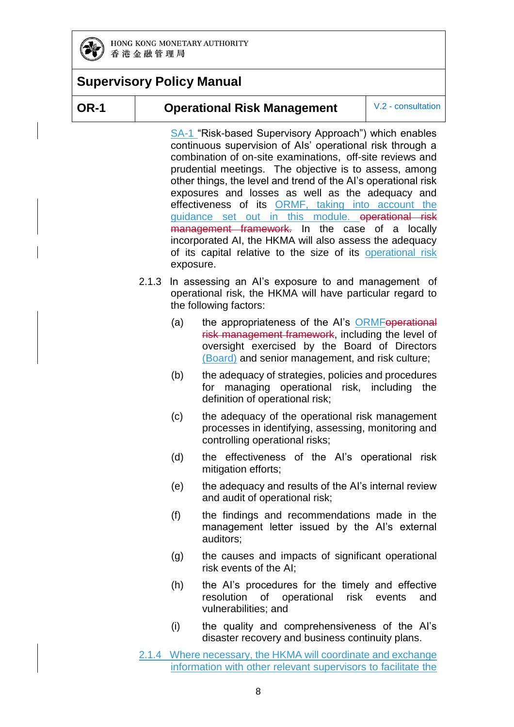

#### **OR-1 Operational Risk Management** V.2 - consultation

[SA-1](https://www.hkma.gov.hk/media/eng/doc/key-functions/banking-stability/supervisory-policy-manual/SA-1.pdf) "Risk-based Supervisory Approach") which enables continuous supervision of AIs' operational risk through a combination of on-site examinations, off-site reviews and prudential meetings. The objective is to assess, among other things, the level and trend of the AI's operational risk exposures and losses as well as the adequacy and effectiveness of its ORMF, taking into account the guidance set out in this module. operational risk management framework. In the case of a locally incorporated AI, the HKMA will also assess the adequacy of its capital relative to the size of its operational risk exposure.

- 2.1.3 In assessing an AI's exposure to and management of operational risk, the HKMA will have particular regard to the following factors:
	- (a) the appropriateness of the AI's ORMFoperational risk management framework, including the level of oversight exercised by the Board of Directors (Board) and senior management, and risk culture;
	- (b) the adequacy of strategies, policies and procedures for managing operational risk, including the definition of operational risk;
	- (c) the adequacy of the operational risk management processes in identifying, assessing, monitoring and controlling operational risks;
	- (d) the effectiveness of the AI's operational risk mitigation efforts;
	- (e) the adequacy and results of the AI's internal review and audit of operational risk;
	- (f) the findings and recommendations made in the management letter issued by the AI's external auditors;
	- (g) the causes and impacts of significant operational risk events of the AI;
	- (h) the AI's procedures for the timely and effective resolution of operational risk events and vulnerabilities; and
	- (i) the quality and comprehensiveness of the AI's disaster recovery and business continuity plans.
- 2.1.4 Where necessary, the HKMA will coordinate and exchange information with other relevant supervisors to facilitate the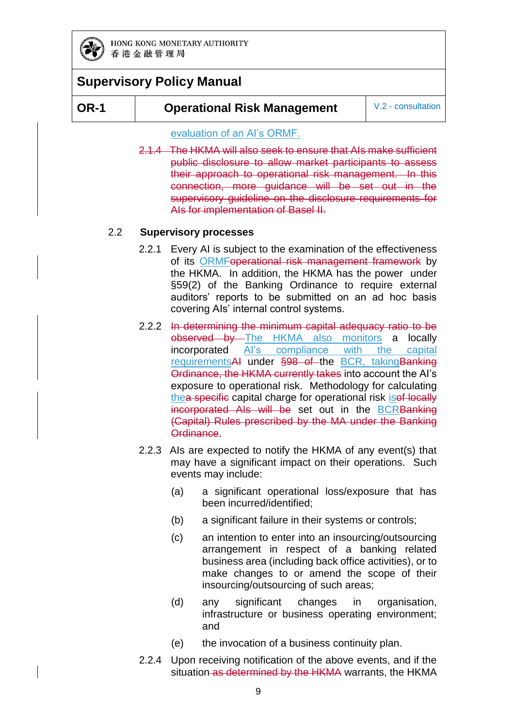

### **Supervisory Policy Manual**

#### **OR-1 Operational Risk Management** V.2 - consultation

#### evaluation of an AI's ORMF.

2.1.4 The HKMA will also seek to ensure that AIs make sufficient public disclosure to allow market participants to assess their approach to operational risk management. In this connection, more guidance will be set out in the supervisory quideline on the disclosure requirements for AIs for implementation of Basel II.

#### 2.2 **Supervisory processes**

- 2.2.1 Every AI is subject to the examination of the effectiveness of its ORMFoperational risk management framework by the HKMA. In addition, the HKMA has the power under §59(2) of the Banking Ordinance to require external auditors' reports to be submitted on an ad hoc basis covering AIs' internal control systems.
- 2.2.2 In determining the minimum capital adequacy ratio to be observed by The HKMA also monitors a locally incorporated AI's compliance with the capital requirementsAI under §98 of the BCR, taking Banking Ordinance, the HKMA currently takes into account the AI's exposure to operational risk. Methodology for calculating thea specific capital charge for operational risk isof locally incorporated AIs will be set out in the **BCRBanking** (Capital) Rules prescribed by the MA under the Banking Ordinance.
- 2.2.3 AIs are expected to notify the HKMA of any event(s) that may have a significant impact on their operations. Such events may include:
	- (a) a significant operational loss/exposure that has been incurred/identified;
	- (b) a significant failure in their systems or controls;
	- (c) an intention to enter into an insourcing/outsourcing arrangement in respect of a banking related business area (including back office activities), or to make changes to or amend the scope of their insourcing/outsourcing of such areas;
	- (d) any significant changes in organisation, infrastructure or business operating environment; and
	- (e) the invocation of a business continuity plan.
- 2.2.4 Upon receiving notification of the above events, and if the situation as determined by the HKMA warrants, the HKMA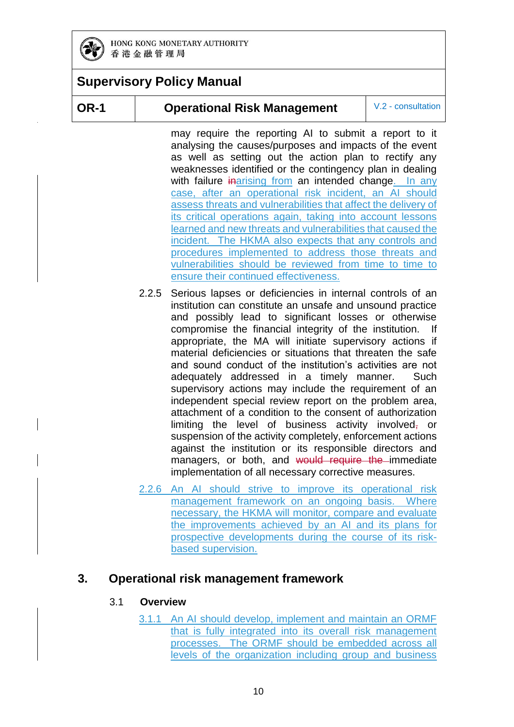

### **Supervisory Policy Manual**

#### **OR-1 Operational Risk Management** V.2 - consultation

may require the reporting AI to submit a report to it analysing the causes/purposes and impacts of the event as well as setting out the action plan to rectify any weaknesses identified or the contingency plan in dealing with failure inarising from an intended change. In any case, after an operational risk incident, an AI should assess threats and vulnerabilities that affect the delivery of its critical operations again, taking into account lessons learned and new threats and vulnerabilities that caused the incident. The HKMA also expects that any controls and procedures implemented to address those threats and vulnerabilities should be reviewed from time to time to ensure their continued effectiveness.

- 2.2.5 Serious lapses or deficiencies in internal controls of an institution can constitute an unsafe and unsound practice and possibly lead to significant losses or otherwise compromise the financial integrity of the institution. If appropriate, the MA will initiate supervisory actions if material deficiencies or situations that threaten the safe and sound conduct of the institution's activities are not adequately addressed in a timely manner. Such supervisory actions may include the requirement of an independent special review report on the problem area, attachment of a condition to the consent of authorization limiting the level of business activity involved, or suspension of the activity completely, enforcement actions against the institution or its responsible directors and managers, or both, and would require the immediate implementation of all necessary corrective measures.
- 2.2.6 An AI should strive to improve its operational risk management framework on an ongoing basis. Where necessary, the HKMA will monitor, compare and evaluate the improvements achieved by an AI and its plans for prospective developments during the course of its riskbased supervision.

### **3. Operational risk management framework**

#### 3.1 **Overview**

3.1.1 An AI should develop, implement and maintain an ORMF that is fully integrated into its overall risk management processes. The ORMF should be embedded across all levels of the organization including group and business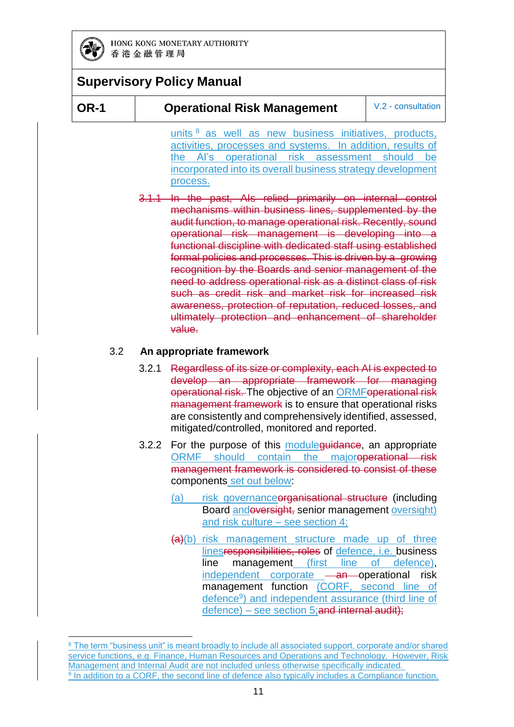

-

### **Supervisory Policy Manual**

#### **OR-1 Operational Risk Management** V.2 - consultation

units  $8$  as well as new business initiatives, products, activities, processes and systems. In addition, results of the AI's operational risk assessment should be incorporated into its overall business strategy development process.

3.1.1 In the past, AIs relied primarily on internal control mechanisms within business lines, supplemented by the audit function, to manage operational risk. Recently, sound operational risk management is developing into a functional discipline with dedicated staff using established formal policies and processes. This is driven by a growing recognition by the Boards and senior management of the need to address operational risk as a distinct class of risk such as credit risk and market risk for increased risk awareness, protection of reputation, reduced losses, and ultimately protection and enhancement of shareholder value.

#### 3.2 **An appropriate framework**

- 3.2.1 Regardless of its size or complexity, each AI is expected to develop an appropriate framework for managing operational risk. The objective of an ORMFoperational risk management framework is to ensure that operational risks are consistently and comprehensively identified, assessed, mitigated/controlled, monitored and reported.
- 3.2.2 For the purpose of this module guidance, an appropriate ORMF should contain the majoroperational risk management framework is considered to consist of these components set out below:
	- (a) risk governance organisational structure (including Board andoversight, senior management oversight) and risk culture – see section 4;
	- (a)(b) risk management structure made up of three linesresponsibilities, roles of defence, i.e. business line management (first line of defence), independent corporate - an operational risk management function (CORF, second line of defence<sup>9</sup>) and independent assurance (third line of defence) – see section 5;and internal audit);

<sup>8</sup> The term "business unit" is meant broadly to include all associated support, corporate and/or shared service functions, e.g. Finance, Human Resources and Operations and Technology. However, Risk Management and Internal Audit are not included unless otherwise specifically indicated. <sup>9</sup> In addition to a CORF, the second line of defence also typically includes a Compliance function.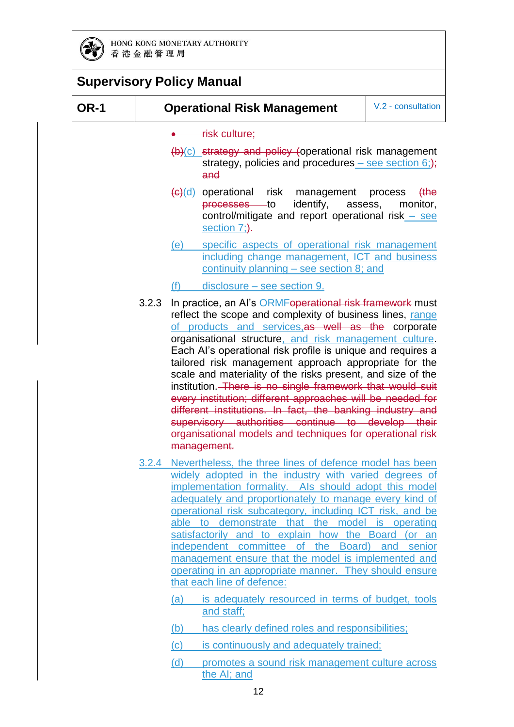

| <b>Supervisory Policy Manual</b>                                                                                                                                                                                                                                                                                                                                                                                                                                                                                                                                                                                                                                                          |                                                                                                                                       |
|-------------------------------------------------------------------------------------------------------------------------------------------------------------------------------------------------------------------------------------------------------------------------------------------------------------------------------------------------------------------------------------------------------------------------------------------------------------------------------------------------------------------------------------------------------------------------------------------------------------------------------------------------------------------------------------------|---------------------------------------------------------------------------------------------------------------------------------------|
| <b>Operational Risk Management</b>                                                                                                                                                                                                                                                                                                                                                                                                                                                                                                                                                                                                                                                        | V.2 - consultation                                                                                                                    |
| risk culture;<br>$(b)(c)$ strategy and policy (operational risk management<br>strategy, policies and procedures – see section $6$ ;);<br>and                                                                                                                                                                                                                                                                                                                                                                                                                                                                                                                                              |                                                                                                                                       |
| $\left(\frac{c}{c}\right)$ operational<br>risk<br>management<br>identify,<br><del>processes</del> to<br>control/mitigate and report operational risk $-$ see<br>section 7;).                                                                                                                                                                                                                                                                                                                                                                                                                                                                                                              | <del>(the</del><br>process<br>monitor,<br>assess,                                                                                     |
| specific aspects of operational risk management<br>(e)<br>including change management, ICT and business<br>continuity planning $-$ see section 8; and                                                                                                                                                                                                                                                                                                                                                                                                                                                                                                                                     |                                                                                                                                       |
| disclosure – see section 9.<br>(f)                                                                                                                                                                                                                                                                                                                                                                                                                                                                                                                                                                                                                                                        |                                                                                                                                       |
| reflect the scope and complexity of business lines, range<br>of products and services, as well as the corporate<br>organisational structure, and risk management culture.<br>Each Al's operational risk profile is unique and requires a<br>tailored risk management approach appropriate for the<br>scale and materiality of the risks present, and size of the<br>institution. There is no single framework that would suit<br>every institution; different approaches will be needed for<br>different institutions. In fact, the banking industry and<br>supervisory authorities continue to develop their<br>organisational models and techniques for operational risk<br>management. |                                                                                                                                       |
| widely adopted in the industry with varied degrees of<br>implementation formality. Als should adopt this model<br>adequately and proportionately to manage every kind of<br>operational risk subcategory, including ICT risk, and be<br>able to demonstrate that the model is operating<br>satisfactorily and to explain how the Board<br>independent committee of the Board) and senior<br>management ensure that the model is implemented and<br>operating in an appropriate manner. They should ensure<br>that each line of defence:<br>(a)<br>is adequately resourced in terms of budget, tools<br>and staff;                                                                         | (or an                                                                                                                                |
|                                                                                                                                                                                                                                                                                                                                                                                                                                                                                                                                                                                                                                                                                           | 3.2.3<br>In practice, an Al's ORMFoperational risk framework must<br>Nevertheless, the three lines of defence model has been<br>3.2.4 |

(d) promotes a sound risk management culture across the AI; and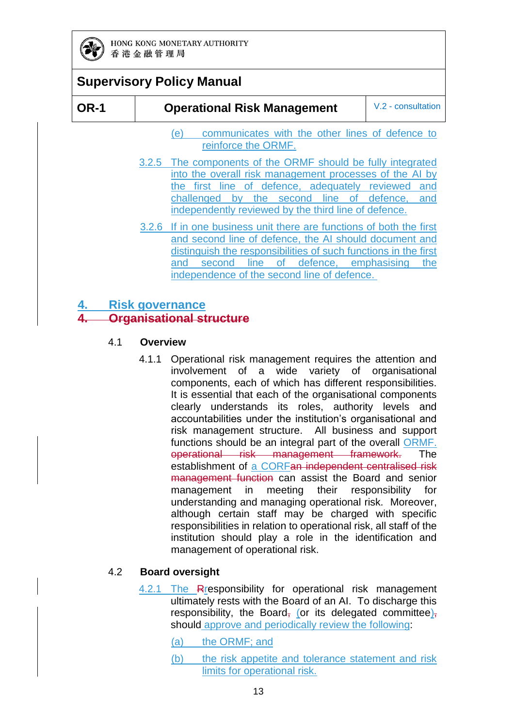

| <b>OR-1</b> | <b>Operational Risk Management</b> | V.2 - consultation |
|-------------|------------------------------------|--------------------|
|-------------|------------------------------------|--------------------|

- (e) communicates with the other lines of defence to reinforce the ORMF.
- 3.2.5 The components of the ORMF should be fully integrated into the overall risk management processes of the AI by the first line of defence, adequately reviewed and challenged by the second line of defence, and independently reviewed by the third line of defence.
- 3.2.6 If in one business unit there are functions of both the first and second line of defence, the AI should document and distinguish the responsibilities of such functions in the first and second line of defence, emphasising the independence of the second line of defence.

#### **4. Risk governance**

#### **4. Organisational structure**

#### 4.1 **Overview**

4.1.1 Operational risk management requires the attention and involvement of a wide variety of organisational components, each of which has different responsibilities. It is essential that each of the organisational components clearly understands its roles, authority levels and accountabilities under the institution's organisational and risk management structure. All business and support functions should be an integral part of the overall ORMF. operational risk management framework. The establishment of a CORFan independent centralised risk management function can assist the Board and senior management in meeting their responsibility for understanding and managing operational risk. Moreover, although certain staff may be charged with specific responsibilities in relation to operational risk, all staff of the institution should play a role in the identification and management of operational risk.

#### 4.2 **Board oversight**

4.2.1 The Rresponsibility for operational risk management ultimately rests with the Board of an AI. To discharge this responsibility, the Board, (or its delegated committee), should approve and periodically review the following:

(a) the ORMF; and

(b) the risk appetite and tolerance statement and risk limits for operational risk.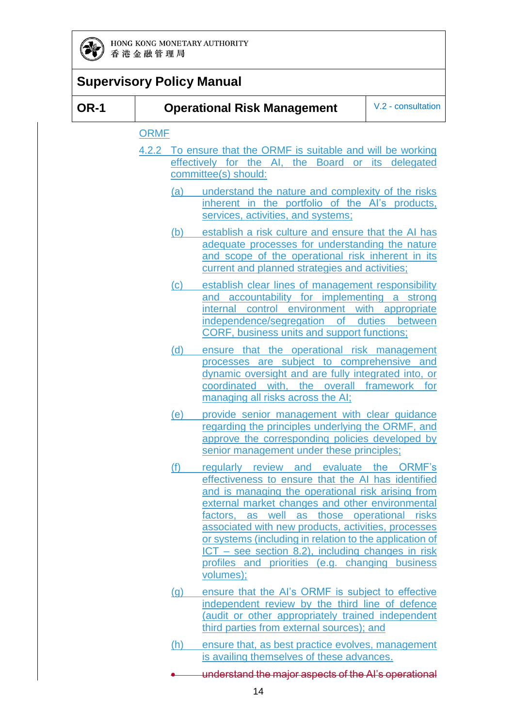

|             |             |     | <b>Supervisory Policy Manual</b>                                                                                                                                                                                                                                                                                                                                                                                                                                                                |                       |
|-------------|-------------|-----|-------------------------------------------------------------------------------------------------------------------------------------------------------------------------------------------------------------------------------------------------------------------------------------------------------------------------------------------------------------------------------------------------------------------------------------------------------------------------------------------------|-----------------------|
| <b>OR-1</b> |             |     | <b>Operational Risk Management</b>                                                                                                                                                                                                                                                                                                                                                                                                                                                              | V.2 - consultation    |
|             | <b>ORMF</b> |     | 4.2.2 To ensure that the ORMF is suitable and will be working<br>effectively for the AI, the Board or its delegated<br>committee(s) should:                                                                                                                                                                                                                                                                                                                                                     |                       |
|             |             | (a) | understand the nature and complexity of the risks<br>inherent in the portfolio of the AI's products,<br>services, activities, and systems;                                                                                                                                                                                                                                                                                                                                                      |                       |
|             |             | (b) | establish a risk culture and ensure that the AI has<br>adequate processes for understanding the nature<br>and scope of the operational risk inherent in its<br>current and planned strategies and activities;                                                                                                                                                                                                                                                                                   |                       |
|             |             | (c) | establish clear lines of management responsibility<br>and accountability for implementing a strong<br>internal control environment with appropriate<br>independence/segregation of duties between<br><b>CORF, business units and support functions;</b>                                                                                                                                                                                                                                         |                       |
|             |             | (d) | ensure that the operational risk management<br>processes are subject to comprehensive and<br>dynamic oversight and are fully integrated into, or<br>coordinated<br>with,<br>the<br>managing all risks across the AI;                                                                                                                                                                                                                                                                            | overall framework for |
|             |             | (e) | provide senior management with clear guidance<br>regarding the principles underlying the ORMF, and<br>approve the corresponding policies developed by<br>senior management under these principles;                                                                                                                                                                                                                                                                                              |                       |
|             |             | (f) | regularly review and evaluate the ORMF's<br>effectiveness to ensure that the AI has identified<br>and is managing the operational risk arising from<br>external market changes and other environmental<br>factors, as well as those operational risks<br>associated with new products, activities, processes<br>or systems (including in relation to the application of<br>$ICT - see section 8.2)$ , including changes in risk<br>profiles and priorities (e.g. changing business<br>volumes); |                       |
|             |             | (g) | ensure that the AI's ORMF is subject to effective<br>independent review by the third line of defence<br>(audit or other appropriately trained independent<br>third parties from external sources); and                                                                                                                                                                                                                                                                                          |                       |
|             |             | (h) | ensure that, as best practice evolves, management<br>is availing themselves of these advances.                                                                                                                                                                                                                                                                                                                                                                                                  |                       |

understand the major aspects of the AI's operational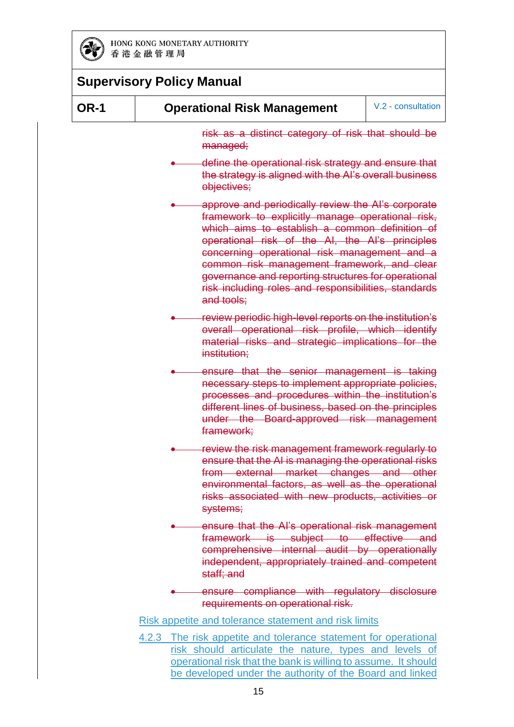

| <b>OR-1</b> | <b>Operational Risk Management</b>                                                                                                                                                                                                                                                                                                                                                                                                      | V.2 - consultation |
|-------------|-----------------------------------------------------------------------------------------------------------------------------------------------------------------------------------------------------------------------------------------------------------------------------------------------------------------------------------------------------------------------------------------------------------------------------------------|--------------------|
|             | risk as a distinct category of risk that should be<br>managed;                                                                                                                                                                                                                                                                                                                                                                          |                    |
|             | define the operational risk strategy and ensure that<br>the strategy is aligned with the AI's overall business<br>objectives;                                                                                                                                                                                                                                                                                                           |                    |
|             | approve and periodically review the Al's corporate<br>framework to explicitly manage operational risk,<br>which aims to establish a common definition of<br>operational risk of the AI, the AI's principles<br>concerning operational risk management and a<br>common risk management framework, and clear<br>governance and reporting structures for operational<br>risk including roles and responsibilities, standards<br>and tools: |                    |
|             | review periodic high-level reports on the institution's<br>overall operational risk profile, which identify<br>material risks and strategic implications for the<br>institution;                                                                                                                                                                                                                                                        |                    |
|             | ensure that the senior management is taking<br>necessary steps to implement appropriate policies,<br>processes and procedures within the institution's<br>different lines of business, based on the principles<br>under the Board-approved risk management<br>framework;                                                                                                                                                                |                    |
|             | review the risk management framework regularly to<br>ensure that the AI is managing the operational risks<br>from external market changes and other<br>environmental factors, as well as the operational<br>risks associated with new products, activities or<br>systems;                                                                                                                                                               |                    |
|             | ensure that the AI's operational risk management<br>framework is subject to effective and<br>comprehensive internal audit by operationally<br>independent, appropriately trained and competent<br>staff; and                                                                                                                                                                                                                            |                    |
|             | ensure compliance with regulatory disclosure<br>requirements on operational risk.                                                                                                                                                                                                                                                                                                                                                       |                    |
|             | Risk appetite and tolerance statement and risk limits                                                                                                                                                                                                                                                                                                                                                                                   |                    |
|             | 4.2.3 The risk appetite and tolerance statement for operational<br>risk should articulate the nature, types and levels of<br>operational risk that the bank is willing to assume. It should                                                                                                                                                                                                                                             |                    |

be developed under the authority of the Board and linked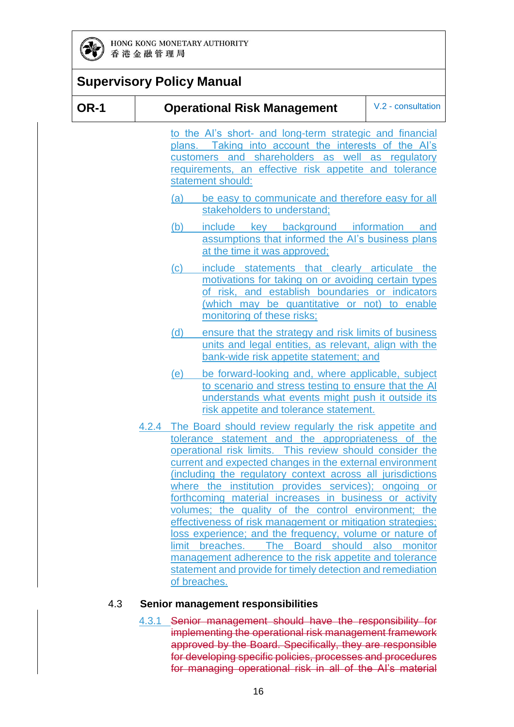

#### **Supervisory Policy Manual OR-1 Operational Risk Management** V.2 - consultation to the AI's short- and long-term strategic and financial plans. Taking into account the interests of the AI's customers and shareholders as well as regulatory requirements, an effective risk appetite and tolerance statement should: (a) be easy to communicate and therefore easy for all stakeholders to understand; (b) include key background information and assumptions that informed the AI's business plans at the time it was approved; (c) include statements that clearly articulate the motivations for taking on or avoiding certain types of risk, and establish boundaries or indicators (which may be quantitative or not) to enable monitoring of these risks; (d) ensure that the strategy and risk limits of business units and legal entities, as relevant, align with the bank-wide risk appetite statement; and (e) be forward-looking and, where applicable, subject to scenario and stress testing to ensure that the AI understands what events might push it outside its risk appetite and tolerance statement. 4.2.4 The Board should review regularly the risk appetite and tolerance statement and the appropriateness of the operational risk limits. This review should consider the current and expected changes in the external environment (including the regulatory context across all jurisdictions where the institution provides services); ongoing or forthcoming material increases in business or activity volumes; the quality of the control environment; the effectiveness of risk management or mitigation strategies; loss experience; and the frequency, volume or nature of limit breaches. The Board should also monitor management adherence to the risk appetite and tolerance statement and provide for timely detection and remediation

#### 4.3 **Senior management responsibilities**

of breaches.

4.3.1 Senior management should have the responsibility for implementing the operational risk management framework approved by the Board. Specifically, they are responsible for developing specific policies, processes and procedures for managing operational risk in all of the AI's material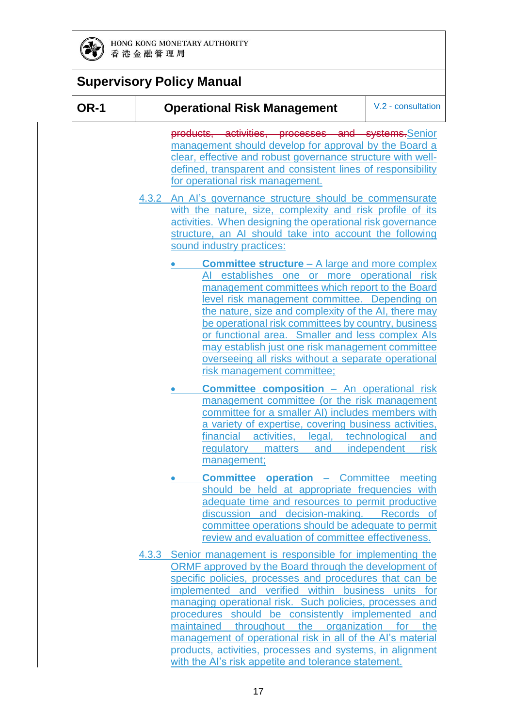

| <b>Supervisory Policy Manual</b> |                                                                                                                                                                                                                                                                                                                                                                                                                                                                                                                             |                    |
|----------------------------------|-----------------------------------------------------------------------------------------------------------------------------------------------------------------------------------------------------------------------------------------------------------------------------------------------------------------------------------------------------------------------------------------------------------------------------------------------------------------------------------------------------------------------------|--------------------|
| <b>OR-1</b>                      | <b>Operational Risk Management</b>                                                                                                                                                                                                                                                                                                                                                                                                                                                                                          | V.2 - consultation |
|                                  | products, activities, processes and systems. Senior<br>management should develop for approval by the Board a<br>clear, effective and robust governance structure with well-<br>defined, transparent and consistent lines of responsibility<br>for operational risk management.                                                                                                                                                                                                                                              |                    |
|                                  | 4.3.2 An Al's governance structure should be commensurate<br>with the nature, size, complexity and risk profile of its<br>activities. When designing the operational risk governance<br>structure, an AI should take into account the following<br>sound industry practices:                                                                                                                                                                                                                                                |                    |
|                                  | <b>Committee structure</b> – A large and more complex<br>establishes one or more operational risk<br>management committees which report to the Board<br>level risk management committee. Depending on<br>the nature, size and complexity of the AI, there may<br>be operational risk committees by country, business<br>or functional area. Smaller and less complex Als<br>may establish just one risk management committee<br>overseeing all risks without a separate operational<br>risk management committee;           |                    |
|                                  | <b>Committee composition - An operational risk</b><br>management committee (or the risk management<br>committee for a smaller AI) includes members with<br>a variety of expertise, covering business activities,<br>financial activities, legal, technological<br>regulatory matters and independent<br>management;                                                                                                                                                                                                         | and<br>risk        |
|                                  | <b>Committee operation</b> - Committee meeting<br>should be held at appropriate frequencies with<br>adequate time and resources to permit productive<br>discussion and decision-making. Records of<br>committee operations should be adequate to permit<br>review and evaluation of committee effectiveness.                                                                                                                                                                                                                |                    |
|                                  | 4.3.3 Senior management is responsible for implementing the                                                                                                                                                                                                                                                                                                                                                                                                                                                                 |                    |
|                                  | ORMF approved by the Board through the development of<br>specific policies, processes and procedures that can be<br>implemented and verified within business units for<br>managing operational risk. Such policies, processes and<br>procedures should be consistently implemented and<br>maintained throughout the organization for the<br>management of operational risk in all of the Al's material<br>products, activities, processes and systems, in alignment<br>with the AI's risk appetite and tolerance statement. |                    |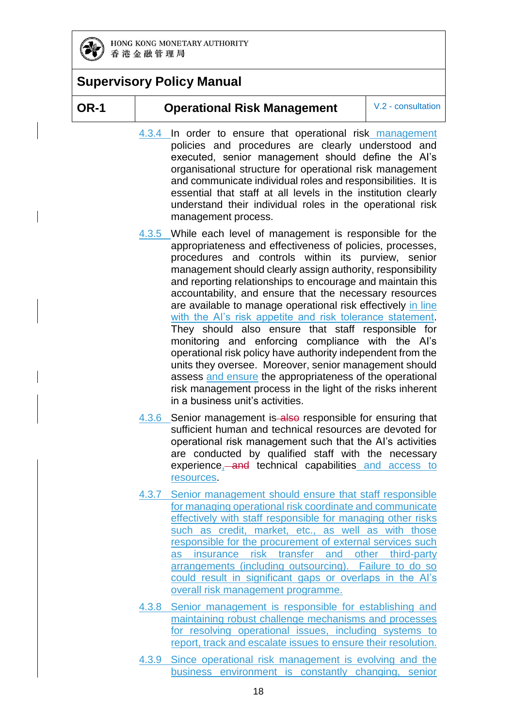

### **OR-1 Operational Risk Management** V.2 - consultation

- 4.3.4 In order to ensure that operational risk management policies and procedures are clearly understood and executed, senior management should define the AI's organisational structure for operational risk management and communicate individual roles and responsibilities. It is essential that staff at all levels in the institution clearly understand their individual roles in the operational risk management process.
- 4.3.5 While each level of management is responsible for the appropriateness and effectiveness of policies, processes, procedures and controls within its purview, senior management should clearly assign authority, responsibility and reporting relationships to encourage and maintain this accountability, and ensure that the necessary resources are available to manage operational risk effectively in line with the AI's risk appetite and risk tolerance statement. They should also ensure that staff responsible for monitoring and enforcing compliance with the AI's operational risk policy have authority independent from the units they oversee. Moreover, senior management should assess and ensure the appropriateness of the operational risk management process in the light of the risks inherent in a business unit's activities.
- 4.3.6 Senior management is also responsible for ensuring that sufficient human and technical resources are devoted for operational risk management such that the AI's activities are conducted by qualified staff with the necessary experience, and technical capabilities and access to resources.
- 4.3.7 Senior management should ensure that staff responsible for managing operational risk coordinate and communicate effectively with staff responsible for managing other risks such as credit, market, etc., as well as with those responsible for the procurement of external services such as insurance risk transfer and other third-party arrangements (including outsourcing). Failure to do so could result in significant gaps or overlaps in the AI's overall risk management programme.
- 4.3.8 Senior management is responsible for establishing and maintaining robust challenge mechanisms and processes for resolving operational issues, including systems to report, track and escalate issues to ensure their resolution.
- 4.3.9 Since operational risk management is evolving and the business environment is constantly changing, senior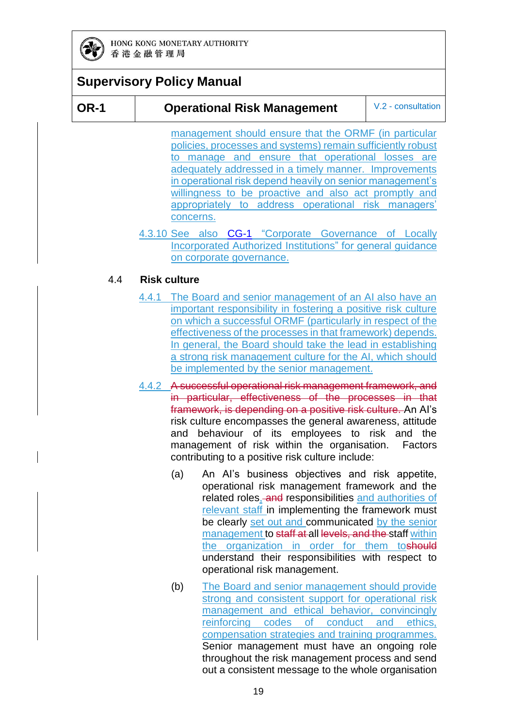

### **OR-1 Operational Risk Management** V.2 - consultation

management should ensure that the ORMF (in particular policies, processes and systems) remain sufficiently robust to manage and ensure that operational losses are adequately addressed in a timely manner. Improvements in operational risk depend heavily on senior management's willingness to be proactive and also act promptly and appropriately to address operational risk managers' concerns.

4.3.10 See also [CG-1](https://www.hkma.gov.hk/media/eng/doc/key-functions/banking-stability/supervisory-policy-manual/CG-1.pdf) "Corporate Governance of Locally Incorporated Authorized Institutions" for general guidance on corporate governance.

#### 4.4 **Risk culture**

- 4.4.1 The Board and senior management of an AI also have an important responsibility in fostering a positive risk culture on which a successful ORMF (particularly in respect of the effectiveness of the processes in that framework) depends. In general, the Board should take the lead in establishing a strong risk management culture for the AI, which should be implemented by the senior management.
- 4.4.2 A successful operational risk management framework, and in particular, effectiveness of the processes in that framework, is depending on a positive risk culture. An AI's risk culture encompasses the general awareness, attitude and behaviour of its employees to risk and the management of risk within the organisation. Factors contributing to a positive risk culture include:
	- (a) An AI's business objectives and risk appetite, operational risk management framework and the related roles, and responsibilities and authorities of relevant staff in implementing the framework must be clearly set out and communicated by the senior management to staff at all levels, and the staff within the organization in order for them toshould understand their responsibilities with respect to operational risk management.
	- (b) The Board and senior management should provide strong and consistent support for operational risk management and ethical behavior, convincingly reinforcing codes of conduct and ethics, compensation strategies and training programmes. Senior management must have an ongoing role throughout the risk management process and send out a consistent message to the whole organisation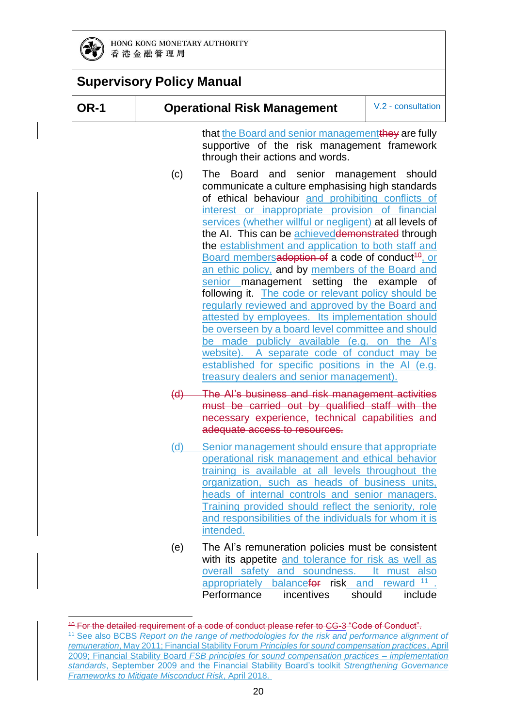

### **Supervisory Policy Manual**

-

**OR-1 Operational Risk Management** V.2 - consultation

that the Board and senior management they are fully supportive of the risk management framework through their actions and words.

- (c) The Board and senior management should communicate a culture emphasising high standards of ethical behaviour and prohibiting conflicts of interest or inappropriate provision of financial services (whether willful or negligent) at all levels of the AI. This can be achieveddemonstrated through the establishment and application to both staff and Board membersadoption of a code of conduct<sup>10</sup>, or an ethic policy, and by members of the Board and senior management setting the example of following it. The code or relevant policy should be regularly reviewed and approved by the Board and attested by employees. Its implementation should be overseen by a board level committee and should be made publicly available (e.g. on the AI's website). A separate code of conduct may be established for specific positions in the AI (e.g. treasury dealers and senior management).
- (d) The AI's business and risk management activities must be carried out by qualified staff with the necessary experience, technical capabilities and adequate access to resources.
- (d) Senior management should ensure that appropriate operational risk management and ethical behavior training is available at all levels throughout the organization, such as heads of business units, heads of internal controls and senior managers. Training provided should reflect the seniority, role and responsibilities of the individuals for whom it is intended.
- (e) The AI's remuneration policies must be consistent with its appetite and tolerance for risk as well as overall safety and soundness. It must also appropriately balancefor risk and reward <sup>11</sup> . Performance incentives should include

<sup>&</sup>lt;sup>10</sup> For the detailed requirement of a code of conduct please refer to CG-3 "Code of Conduct". <sup>11</sup> See also BCBS *Report on the range of methodologies for the risk and performance alignment of remuneration*, May 2011; Financial Stability Forum *Principles for sound compensation practices*, April 2009; Financial Stability Board *FSB principles for sound compensation practices – implementation standards*, September 2009 and the Financial Stability Board's toolkit *Strengthening Governance Frameworks to Mitigate Misconduct Risk*, April 2018.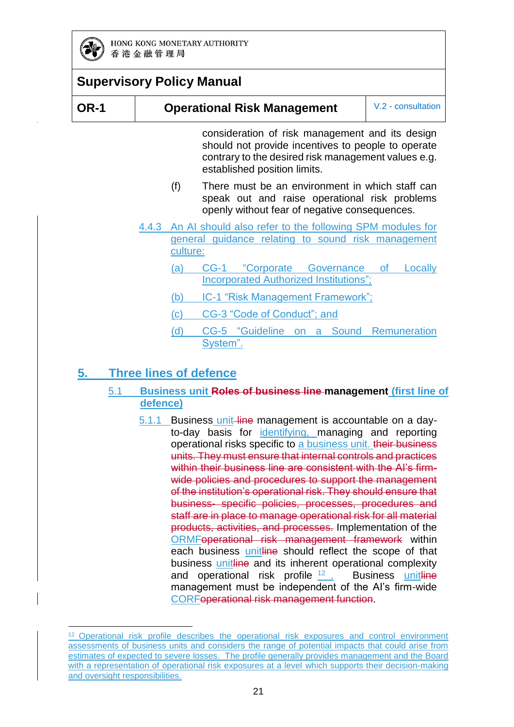

-

|      | <b>Supervisory Policy Manual</b> |                                                                                                                                                                                              |                    |
|------|----------------------------------|----------------------------------------------------------------------------------------------------------------------------------------------------------------------------------------------|--------------------|
| OR-1 |                                  | <b>Operational Risk Management</b>                                                                                                                                                           | V.2 - consultation |
|      |                                  | consideration of risk management and its design<br>should not provide incentives to people to operate<br>contrary to the desired risk management values e.g.<br>established position limits. |                    |
|      | (f)                              | There must be an environment in which staff can<br>speak out and raise operational risk problems<br>openly without fear of negative consequences.                                            |                    |

- 4.4.3 An AI should also refer to the following SPM modules for general guidance relating to sound risk management culture:
	- (a) [CG-1](https://www.hkma.gov.hk/media/eng/doc/key-functions/banking-stability/supervisory-policy-manual/CG-1.pdf) "Corporate Governance of Locally Incorporated Authorized Institutions";
	- (b) [IC-1](https://www.hkma.gov.hk/media/eng/doc/key-functions/banking-stability/supervisory-policy-manual/IC-1.pdf) "Risk Management Framework";
	- (c) [CG-3](https://www.hkma.gov.hk/media/eng/doc/key-functions/banking-stability/supervisory-policy-manual/CG-3_consultation_20210209.pdf) "Code of Conduct"; and
	- (d) [CG-5](https://www.hkma.gov.hk/media/eng/doc/key-functions/banking-stability/supervisory-policy-manual/CG-5.pdf) "Guideline on a Sound Remuneration System".

### **5. Three lines of defence**

#### 5.1 **Business unit Roles of business line management (first line of defence)**

5.1.1 Business unit line management is accountable on a dayto-day basis for identifying, managing and reporting operational risks specific to a business unit. their business units. They must ensure that internal controls and practices within their business line are consistent with the AI's firmwide policies and procedures to support the management of the institution's operational risk. They should ensure that business- specific policies, processes, procedures and staff are in place to manage operational risk for all material products, activities, and processes. Implementation of the ORMFoperational risk management framework within each business unitline should reflect the scope of that business *unitline* and its inherent operational complexity and operational risk profile  $12$ . Business unitline management must be independent of the AI's firm-wide CORFoperational risk management function.

<sup>&</sup>lt;sup>12</sup> Operational risk profile describes the operational risk exposures and control environment assessments of business units and considers the range of potential impacts that could arise from estimates of expected to severe losses. The profile generally provides management and the Board with a representation of operational risk exposures at a level which supports their decision-making and oversight responsibilities.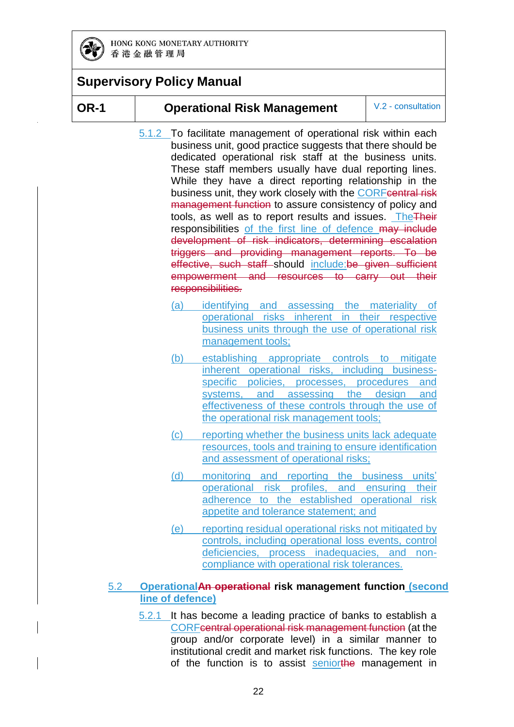

#### **OR-1 Operational Risk Management** V.2 - consultation

- 5.1.2 To facilitate management of operational risk within each business unit, good practice suggests that there should be dedicated operational risk staff at the business units. These staff members usually have dual reporting lines. While they have a direct reporting relationship in the business unit, they work closely with the CORFcentral risk management function to assure consistency of policy and tools, as well as to report results and issues. TheTheir responsibilities of the first line of defence may include development of risk indicators, determining escalation triggers and providing management reports. To be effective, such staff should include:be given sufficient empowerment and resources to carry out their responsibilities.
	- (a) identifying and assessing the materiality of operational risks inherent in their respective business units through the use of operational risk management tools;
	- (b) establishing appropriate controls to mitigate inherent operational risks, including businessspecific policies, processes, procedures and systems, and assessing the design and effectiveness of these controls through the use of the operational risk management tools;
	- (c) reporting whether the business units lack adequate resources, tools and training to ensure identification and assessment of operational risks;
	- (d) monitoring and reporting the business units' operational risk profiles, and ensuring their adherence to the established operational risk appetite and tolerance statement; and
	- (e) reporting residual operational risks not mitigated by controls, including operational loss events, control deficiencies, process inadequacies, and noncompliance with operational risk tolerances.

#### 5.2 **OperationalAn operational risk management function (second line of defence)**

5.2.1 It has become a leading practice of banks to establish a CORFcentral operational risk management function (at the group and/or corporate level) in a similar manner to institutional credit and market risk functions. The key role of the function is to assist seniorthe management in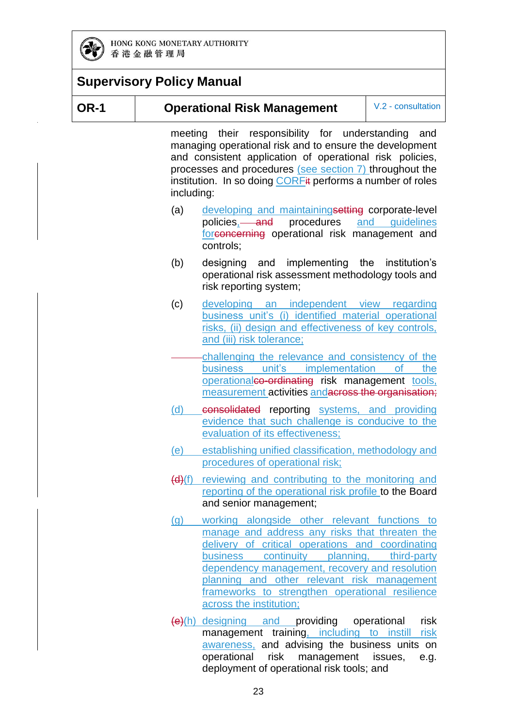

#### **OR-1 Operational Risk Management** V.2 - consultation

meeting their responsibility for understanding and managing operational risk and to ensure the development and consistent application of operational risk policies, processes and procedures (see section 7) throughout the institution. In so doing CORFit performs a number of roles including:

- (a) developing and maintaining setting corporate-level policies, and procedures and guidelines forconcerning operational risk management and controls;
- (b) designing and implementing the institution's operational risk assessment methodology tools and risk reporting system;
- (c) developing an independent view regarding business unit's (i) identified material operational risks, (ii) design and effectiveness of key controls, and (iii) risk tolerance;
	- challenging the relevance and consistency of the business unit's implementation of the operationalco-ordinating risk management tools, measurement activities andacross the organisation;
- (d) consolidated reporting systems, and providing evidence that such challenge is conducive to the evaluation of its effectiveness;
- (e) establishing unified classification, methodology and procedures of operational risk;
- (d)(f) reviewing and contributing to the monitoring and reporting of the operational risk profile to the Board and senior management;
- (g) working alongside other relevant functions to manage and address any risks that threaten the delivery of critical operations and coordinating business continuity planning, third-party dependency management, recovery and resolution planning and other relevant risk management frameworks to strengthen operational resilience across the institution;
- $(e)(h)$  designing and providing operational risk management training, including to instill risk awareness, and advising the business units on operational risk management issues, e.g. deployment of operational risk tools; and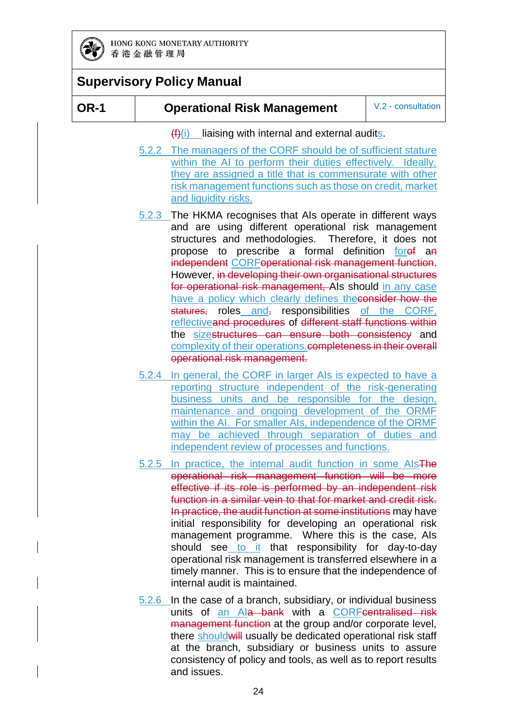

#### **OR-1 Operational Risk Management** V.2 - consultation

 $(f(x))$  liaising with internal and external audits.

- 5.2.2 The managers of the CORF should be of sufficient stature within the AI to perform their duties effectively. Ideally, they are assigned a title that is commensurate with other risk management functions such as those on credit, market and liquidity risks.
- 5.2.3 The HKMA recognises that AIs operate in different ways and are using different operational risk management structures and methodologies. Therefore, it does not propose to prescribe a formal definition foret an independent CORFoperational risk management function. However, in developing their own organisational structures for operational risk management, AIs should in any case have a policy which clearly defines theconsider how the statures, roles and, responsibilities of the CORF, reflectiveand procedures of different staff functions within the sizestructures can ensure both consistency and complexity of their operations.completeness in their overall operational risk management.
- 5.2.4 In general, the CORF in larger AIs is expected to have a reporting structure independent of the risk-generating business units and be responsible for the design, maintenance and ongoing development of the ORMF within the AI. For smaller AIs, independence of the ORMF may be achieved through separation of duties and independent review of processes and functions.
- 5.2.5 In practice, the internal audit function in some AIsThe operational risk management function will be more effective if its role is performed by an independent risk function in a similar vein to that for market and credit risk. In practice, the audit function at some institutions may have initial responsibility for developing an operational risk management programme. Where this is the case, AIs should see to it that responsibility for day-to-day operational risk management is transferred elsewhere in a timely manner. This is to ensure that the independence of internal audit is maintained.
- 5.2.6 In the case of a branch, subsidiary, or individual business units of an Ala bank with a CORFcentralised risk management function at the group and/or corporate level, there should will usually be dedicated operational risk staff at the branch, subsidiary or business units to assure consistency of policy and tools, as well as to report results and issues.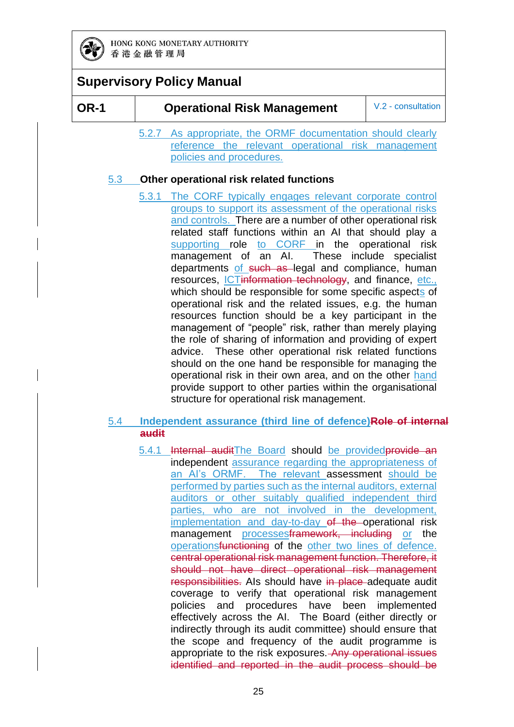

#### **OR-1 Operational Risk Management** V.2 - consultation

5.2.7 As appropriate, the ORMF documentation should clearly reference the relevant operational risk management policies and procedures.

#### 5.3 **Other operational risk related functions**

5.3.1 The CORF typically engages relevant corporate control groups to support its assessment of the operational risks and controls. There are a number of other operational risk related staff functions within an AI that should play a supporting role to CORF in the operational risk management of an AI. These include specialist departments of such as legal and compliance, human resources, ICTinformation technology, and finance, etc., which should be responsible for some specific aspects of operational risk and the related issues, e.g. the human resources function should be a key participant in the management of "people" risk, rather than merely playing the role of sharing of information and providing of expert advice. These other operational risk related functions should on the one hand be responsible for managing the operational risk in their own area, and on the other hand provide support to other parties within the organisational structure for operational risk management.

#### 5.4 **Independent assurance (third line of defence)Role of internal audit**

5.4.1 Internal auditThe Board should be provided provide an independent assurance regarding the appropriateness of an AI's ORMF. The relevant assessment should be performed by parties such as the internal auditors, external auditors or other suitably qualified independent third parties, who are not involved in the development, implementation and day-to-day of the operational risk management processesframework, including or the operationsfunctioning of the other two lines of defence. central operational risk management function. Therefore, it should not have direct operational risk management responsibilities. Als should have in place adequate audit coverage to verify that operational risk management policies and procedures have been implemented effectively across the AI. The Board (either directly or indirectly through its audit committee) should ensure that the scope and frequency of the audit programme is appropriate to the risk exposures. Any operational issues identified and reported in the audit process should be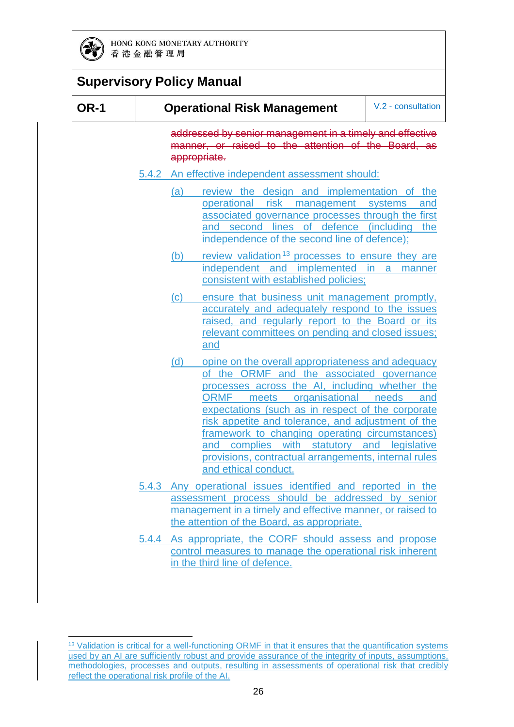

|             | <b>Supervisory Policy Manual</b>                                                                                                                                                                                                                                                                                                                                                                                                                                                              |
|-------------|-----------------------------------------------------------------------------------------------------------------------------------------------------------------------------------------------------------------------------------------------------------------------------------------------------------------------------------------------------------------------------------------------------------------------------------------------------------------------------------------------|
| <b>OR-1</b> | V.2 - consultation<br><b>Operational Risk Management</b>                                                                                                                                                                                                                                                                                                                                                                                                                                      |
|             | addressed by senior management in a timely and effective<br>manner, or raised to the attention of the Board, as<br>appropriate.                                                                                                                                                                                                                                                                                                                                                               |
|             | 5.4.2 An effective independent assessment should:                                                                                                                                                                                                                                                                                                                                                                                                                                             |
|             | review the design and implementation of the<br>(a)<br>operational risk management systems<br>and<br>associated governance processes through the first<br>and second lines of defence (including the<br>independence of the second line of defence);                                                                                                                                                                                                                                           |
|             | review validation <sup>13</sup> processes to ensure they are<br>(b)<br>independent and implemented in a<br>manner<br>consistent with established policies;                                                                                                                                                                                                                                                                                                                                    |
|             | (c)<br>ensure that business unit management promptly,<br>accurately and adequately respond to the issues<br>raised, and regularly report to the Board or its<br>relevant committees on pending and closed issues;<br>and                                                                                                                                                                                                                                                                      |
|             | (d)<br>opine on the overall appropriateness and adequacy<br>of the ORMF and the associated governance<br>processes across the AI, including whether the<br>ORMF meets organisational needs<br>and<br>expectations (such as in respect of the corporate<br>risk appetite and tolerance, and adjustment of the<br>framework to changing operating circumstances)<br>and complies with statutory and legislative<br>provisions, contractual arrangements, internal rules<br>and ethical conduct. |
|             | 5.4.3 Any operational issues identified and reported in the<br>assessment process should be addressed by senior<br>management in a timely and effective manner, or raised to<br>the attention of the Board, as appropriate.                                                                                                                                                                                                                                                                   |
|             | 5.4.4 As appropriate, the CORF should assess and propose<br>control measures to manage the operational risk inherent                                                                                                                                                                                                                                                                                                                                                                          |

in the third line of defence.

<sup>-</sup><sup>13</sup> Validation is critical for a well-functioning ORMF in that it ensures that the quantification systems used by an AI are sufficiently robust and provide assurance of the integrity of inputs, assumptions, methodologies, processes and outputs, resulting in assessments of operational risk that credibly reflect the operational risk profile of the AI.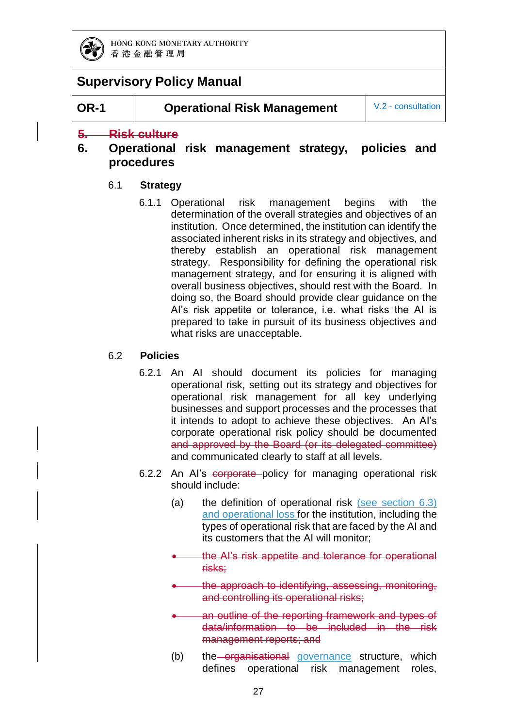

**OR-1 Operational Risk Management** V.2 - consultation

#### **5. Risk culture**

#### **6. Operational risk management strategy, policies and procedures**

#### 6.1 **Strategy**

6.1.1 Operational risk management begins with the determination of the overall strategies and objectives of an institution. Once determined, the institution can identify the associated inherent risks in its strategy and objectives, and thereby establish an operational risk management strategy. Responsibility for defining the operational risk management strategy, and for ensuring it is aligned with overall business objectives, should rest with the Board. In doing so, the Board should provide clear guidance on the AI's risk appetite or tolerance, i.e. what risks the AI is prepared to take in pursuit of its business objectives and what risks are unacceptable.

#### 6.2 **Policies**

- 6.2.1 An AI should document its policies for managing operational risk, setting out its strategy and objectives for operational risk management for all key underlying businesses and support processes and the processes that it intends to adopt to achieve these objectives. An AI's corporate operational risk policy should be documented and approved by the Board (or its delegated committee) and communicated clearly to staff at all levels.
- 6.2.2 An AI's corporate policy for managing operational risk should include:
	- (a) the definition of operational risk (see section  $6.3$ ) and operational loss for the institution, including the types of operational risk that are faced by the AI and its customers that the AI will monitor;
	- the AI's risk appetite and tolerance for operational risks;
	- the approach to identifying, assessing, monitoring, and controlling its operational risks;
	- an outline of the reporting framework and types of data/information to be included in the risk management reports; and
	- (b) the organisational governance structure, which defines operational risk management roles,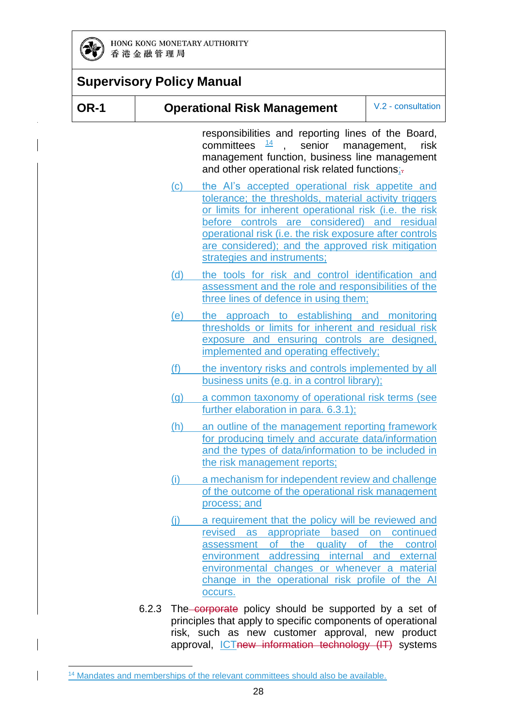

 $\overline{\phantom{a}}$ 

| <b>Supervisory Policy Manual</b> |                            |                                                                                                                                                                                                                                                                                                                                                                   |                             |
|----------------------------------|----------------------------|-------------------------------------------------------------------------------------------------------------------------------------------------------------------------------------------------------------------------------------------------------------------------------------------------------------------------------------------------------------------|-----------------------------|
| <b>OR-1</b>                      |                            | <b>Operational Risk Management</b>                                                                                                                                                                                                                                                                                                                                | V.2 - consultation          |
|                                  |                            | responsibilities and reporting lines of the Board,<br>committees $\frac{14}{1}$ , senior<br>management function, business line management<br>and other operational risk related functions;-                                                                                                                                                                       | management,<br>risk         |
|                                  | $\left( \mathrm{c}\right)$ | the Al's accepted operational risk appetite and<br>tolerance; the thresholds, material activity triggers<br>or limits for inherent operational risk (i.e. the risk<br>before controls are considered) and residual<br>operational risk (i.e. the risk exposure after controls<br>are considered); and the approved risk mitigation<br>strategies and instruments; |                             |
|                                  | (d)                        | the tools for risk and control identification and<br>assessment and the role and responsibilities of the<br>three lines of defence in using them;                                                                                                                                                                                                                 |                             |
|                                  | (e)                        | the approach to establishing and monitoring<br>thresholds or limits for inherent and residual risk<br>exposure and ensuring controls are designed,<br>implemented and operating effectively;                                                                                                                                                                      |                             |
|                                  | (f)                        | the inventory risks and controls implemented by all<br>business units (e.g. in a control library);                                                                                                                                                                                                                                                                |                             |
|                                  | (q)                        | a common taxonomy of operational risk terms (see<br>further elaboration in para. 6.3.1);                                                                                                                                                                                                                                                                          |                             |
|                                  | (h)                        | an outline of the management reporting framework<br>for producing timely and accurate data/information<br>and the types of data/information to be included in<br>the risk management reports;                                                                                                                                                                     |                             |
|                                  | (i)                        | a mechanism for independent review and challenge<br>of the outcome of the operational risk management<br>process; and                                                                                                                                                                                                                                             |                             |
|                                  | (i)                        | a requirement that the policy will be reviewed and<br>revised as appropriate based on<br>of the quality of<br>assessment<br>environment addressing internal and external<br>environmental changes or whenever a material<br>change in the operational risk profile of the Al<br>occurs.                                                                           | continued<br>the<br>control |
|                                  |                            | 6.2.3 The–corporate policy should be supported by a set of                                                                                                                                                                                                                                                                                                        |                             |

principles that apply to specific components of operational risk, such as new customer approval, new product approval, *ICTnew information technology* (IT) systems

<sup>-</sup><sup>14</sup> Mandates and memberships of the relevant committees should also be available.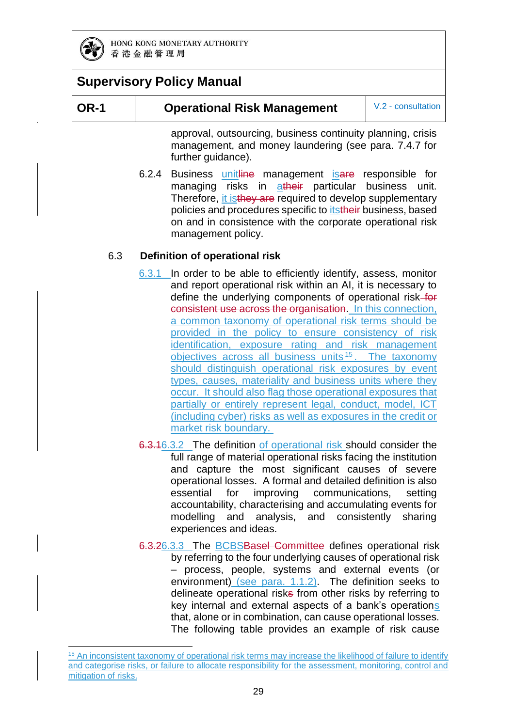

### **Supervisory Policy Manual**

-

#### **OR-1 Operational Risk Management** V.2 - consultation

approval, outsourcing, business continuity planning, crisis management, and money laundering (see para. 7.4.7 for further guidance).

6.2.4 Business unitline management is are responsible for managing risks in atheir particular business unit. Therefore, it is they are required to develop supplementary policies and procedures specific to *itstheir* business, based on and in consistence with the corporate operational risk management policy.

#### 6.3 **Definition of operational risk**

- 6.3.1 In order to be able to efficiently identify, assess, monitor and report operational risk within an AI, it is necessary to define the underlying components of operational risk-for consistent use across the organisation. In this connection, a common taxonomy of operational risk terms should be provided in the policy to ensure consistency of risk identification, exposure rating and risk management objectives across all business units 15 . The taxonomy should distinguish operational risk exposures by event types, causes, materiality and business units where they occur. It should also flag those operational exposures that partially or entirely represent legal, conduct, model, ICT (including cyber) risks as well as exposures in the credit or market risk boundary.
- 6.3.16.3.2 The definition of operational risk should consider the full range of material operational risks facing the institution and capture the most significant causes of severe operational losses. A formal and detailed definition is also essential for improving communications, setting accountability, characterising and accumulating events for modelling and analysis, and consistently sharing experiences and ideas.
- 6.3.26.3.3 The BCBSBasel Committee defines operational risk by referring to the four underlying causes of operational risk – process, people, systems and external events (or environment) (see para. 1.1.2). The definition seeks to delineate operational risks from other risks by referring to key internal and external aspects of a bank's operations that, alone or in combination, can cause operational losses. The following table provides an example of risk cause

<sup>&</sup>lt;sup>15</sup> An inconsistent taxonomy of operational risk terms may increase the likelihood of failure to identify and categorise risks, or failure to allocate responsibility for the assessment, monitoring, control and mitigation of risks.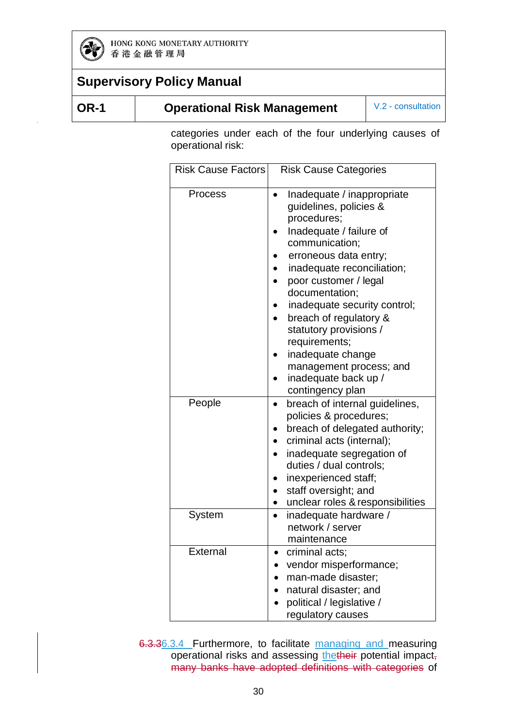

| w<br>۰. |
|---------|
|---------|

#### **Operational Risk Management** V.2 - consultation

categories under each of the four underlying causes of operational risk:

| <b>Risk Cause Factors</b> | <b>Risk Cause Categories</b>                                                                                                                                                                                                                                                                                                                                                                                        |
|---------------------------|---------------------------------------------------------------------------------------------------------------------------------------------------------------------------------------------------------------------------------------------------------------------------------------------------------------------------------------------------------------------------------------------------------------------|
| Process                   | Inadequate / inappropriate<br>guidelines, policies &<br>procedures;<br>Inadequate / failure of<br>communication;<br>erroneous data entry;<br>inadequate reconciliation;<br>poor customer / legal<br>documentation;<br>inadequate security control;<br>breach of regulatory &<br>statutory provisions /<br>requirements;<br>inadequate change<br>management process; and<br>inadequate back up /<br>contingency plan |
| People                    | breach of internal guidelines,<br>$\bullet$<br>policies & procedures;<br>breach of delegated authority;<br>criminal acts (internal);<br>inadequate segregation of<br>duties / dual controls;<br>inexperienced staff;<br>staff oversight; and<br>unclear roles & responsibilities                                                                                                                                    |
| System                    | inadequate hardware /<br>$\bullet$<br>network / server<br>maintenance                                                                                                                                                                                                                                                                                                                                               |
| External                  | criminal acts;<br>vendor misperformance;<br>man-made disaster;<br>natural disaster; and<br>political / legislative /<br>regulatory causes                                                                                                                                                                                                                                                                           |

6.3.36.3.4 Furthermore, to facilitate managing and measuring operational risks and assessing thetheir potential impact, many banks have adopted definitions with categories of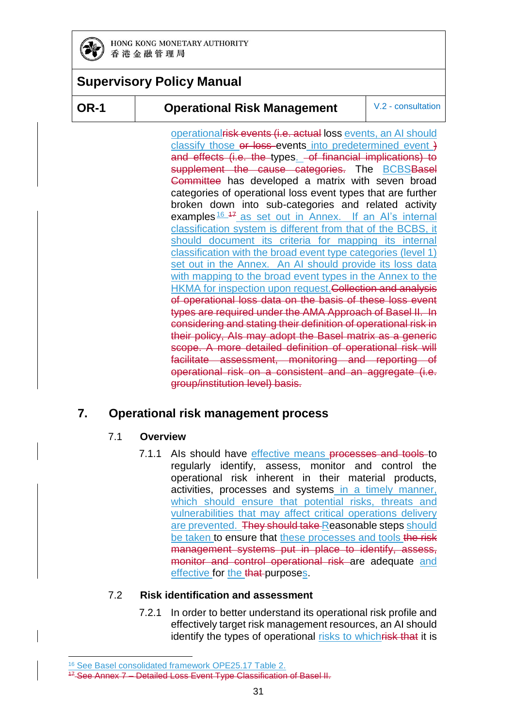

#### **OR-1 Operational Risk Management** V.2 - consultation

operational<del>risk events (i.e. actual</del> loss events, an AI should classify those or loss events into predetermined event } and effects (i.e. the types. - of financial implications) to supplement the cause categories. The **BCBSBasel** Committee has developed a matrix with seven broad categories of operational loss event types that are further broken down into sub-categories and related activity examples  $16^{47}$  as set out in Annex. If an AI's internal classification system is different from that of the BCBS, it should document its criteria for mapping its internal classification with the broad event type categories (level 1) set out in the Annex. An AI should provide its loss data with mapping to the broad event types in the Annex to the HKMA for inspection upon request. Collection and analysis of operational loss data on the basis of these loss event types are required under the AMA Approach of Basel II. In considering and stating their definition of operational risk in their policy, AIs may adopt the Basel matrix as a generic scope. A more detailed definition of operational risk will facilitate assessment, monitoring and reporting of operational risk on a consistent and an aggregate (i.e. group/institution level) basis.

### **7. Operational risk management process**

#### 7.1 **Overview**

7.1.1 Als should have effective means processes and tools to regularly identify, assess, monitor and control the operational risk inherent in their material products, activities, processes and systems in a timely manner, which should ensure that potential risks, threats and vulnerabilities that may affect critical operations delivery are prevented. They should take Reasonable steps should be taken to ensure that these processes and tools the risk management systems put in place to identify, assess, monitor and control operational risk are adequate and effective for the that purposes.

#### 7.2 **Risk identification and assessment**

7.2.1 In order to better understand its operational risk profile and effectively target risk management resources, an AI should identify the types of operational risks to whichrisk that it is

<sup>-</sup><sup>16</sup> See Basel consolidated framework OPE25.17 Table 2.

<sup>&</sup>lt;sup>47</sup> See Annex 7 – Detailed Loss Event Type Classification of Basel II.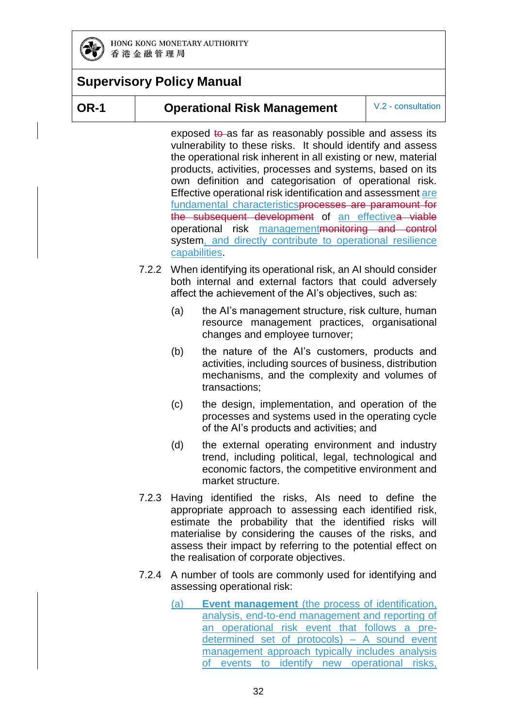

### **Supervisory Policy Manual**

#### **OR-1 Operational Risk Management** V.2 - consultation

exposed  $t\theta$ -as far as reasonably possible and assess its vulnerability to these risks. It should identify and assess the operational risk inherent in all existing or new, material products, activities, processes and systems, based on its own definition and categorisation of operational risk. Effective operational risk identification and assessment are fundamental characteristicsprocesses are paramount for the subsequent development of an effectivea viable operational risk managementmonitoring and control system, and directly contribute to operational resilience capabilities.

- 7.2.2 When identifying its operational risk, an AI should consider both internal and external factors that could adversely affect the achievement of the AI's objectives, such as:
	- (a) the AI's management structure, risk culture, human resource management practices, organisational changes and employee turnover;
	- (b) the nature of the AI's customers, products and activities, including sources of business, distribution mechanisms, and the complexity and volumes of transactions;
	- (c) the design, implementation, and operation of the processes and systems used in the operating cycle of the AI's products and activities; and
	- (d) the external operating environment and industry trend, including political, legal, technological and economic factors, the competitive environment and market structure.
- 7.2.3 Having identified the risks, AIs need to define the appropriate approach to assessing each identified risk, estimate the probability that the identified risks will materialise by considering the causes of the risks, and assess their impact by referring to the potential effect on the realisation of corporate objectives.
- 7.2.4 A number of tools are commonly used for identifying and assessing operational risk:
	- (a) **Event management** (the process of identification, analysis, end-to-end management and reporting of an operational risk event that follows a predetermined set of protocols) – A sound event management approach typically includes analysis of events to identify new operational risks,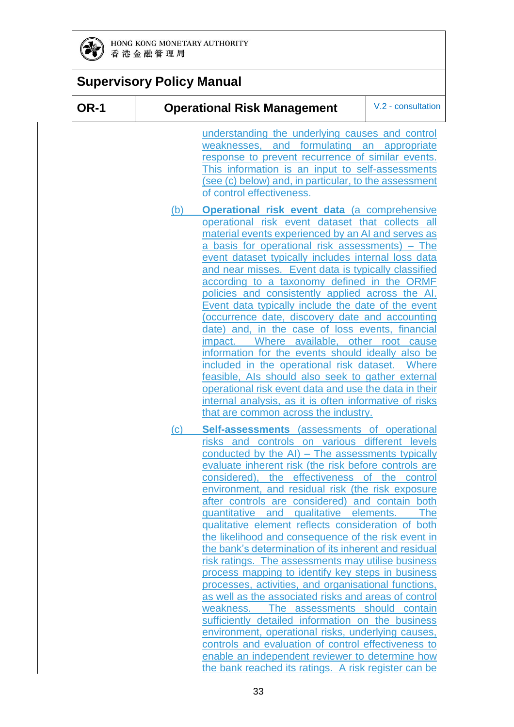

| <b>Supervisory Policy Manual</b> |     |                                                                                                                                                                                                                                                                                                                                                                                                                                                                                                                                                                                                                                                                                                                                                                                                                                                                                                                                                                                                                                                                                                                                            |                    |
|----------------------------------|-----|--------------------------------------------------------------------------------------------------------------------------------------------------------------------------------------------------------------------------------------------------------------------------------------------------------------------------------------------------------------------------------------------------------------------------------------------------------------------------------------------------------------------------------------------------------------------------------------------------------------------------------------------------------------------------------------------------------------------------------------------------------------------------------------------------------------------------------------------------------------------------------------------------------------------------------------------------------------------------------------------------------------------------------------------------------------------------------------------------------------------------------------------|--------------------|
| <b>OR-1</b>                      |     | <b>Operational Risk Management</b>                                                                                                                                                                                                                                                                                                                                                                                                                                                                                                                                                                                                                                                                                                                                                                                                                                                                                                                                                                                                                                                                                                         | V.2 - consultation |
|                                  |     | understanding the underlying causes and control<br>and formulating<br>weaknesses,<br>response to prevent recurrence of similar events.<br>This information is an input to self-assessments<br>(see (c) below) and, in particular, to the assessment<br>of control effectiveness.                                                                                                                                                                                                                                                                                                                                                                                                                                                                                                                                                                                                                                                                                                                                                                                                                                                           | an<br>appropriate  |
|                                  | (b) | Operational risk event data (a comprehensive<br>operational risk event dataset that collects all<br>material events experienced by an AI and serves as<br>a basis for operational risk assessments) – The<br>event dataset typically includes internal loss data<br>and near misses. Event data is typically classified<br>according to a taxonomy defined in the ORMF<br>policies and consistently applied across the Al.<br>Event data typically include the date of the event<br>(occurrence date, discovery date and accounting<br>date) and, in the case of loss events, financial<br>Where available, other root cause<br>impact.<br>information for the events should ideally also be<br>included in the operational risk dataset. Where<br>feasible, Als should also seek to gather external<br>operational risk event data and use the data in their<br>internal analysis, as it is often informative of risks<br>that are common across the industry.                                                                                                                                                                            |                    |
|                                  | (c) | Self-assessments (assessments of operational<br>controls on various different levels<br>risks and<br>conducted by the AI) - The assessments typically<br>evaluate inherent risk (the risk before controls are<br>considered), the effectiveness of the control<br>environment, and residual risk (the risk exposure<br>after controls are considered) and contain both<br>quantitative and qualitative elements.<br>qualitative element reflects consideration of both<br>the likelihood and consequence of the risk event in<br>the bank's determination of its inherent and residual<br>risk ratings. The assessments may utilise business<br>process mapping to identify key steps in business<br>processes, activities, and organisational functions,<br>as well as the associated risks and areas of control<br>weakness. The assessments should contain<br>sufficiently detailed information on the business<br>environment, operational risks, underlying causes,<br>controls and evaluation of control effectiveness to<br>enable an independent reviewer to determine how<br>the bank reached its ratings. A risk register can be | <b>The</b>         |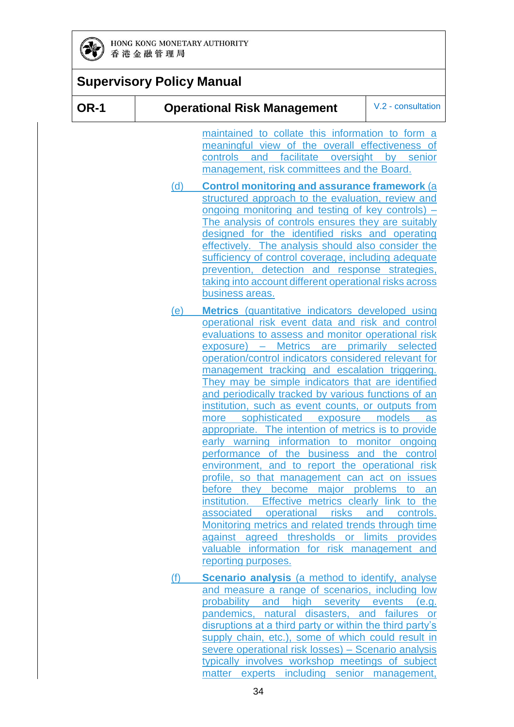

|             | <b>Supervisory Policy Manual</b> |                                                                                                                                                                                                                                                                                                                                                                                                                                                                                                                                                                                                                                                                                                                                                                                                                                                                                                                                                                                                                                                                                                                |                     |  |
|-------------|----------------------------------|----------------------------------------------------------------------------------------------------------------------------------------------------------------------------------------------------------------------------------------------------------------------------------------------------------------------------------------------------------------------------------------------------------------------------------------------------------------------------------------------------------------------------------------------------------------------------------------------------------------------------------------------------------------------------------------------------------------------------------------------------------------------------------------------------------------------------------------------------------------------------------------------------------------------------------------------------------------------------------------------------------------------------------------------------------------------------------------------------------------|---------------------|--|
| <b>OR-1</b> |                                  | <b>Operational Risk Management</b>                                                                                                                                                                                                                                                                                                                                                                                                                                                                                                                                                                                                                                                                                                                                                                                                                                                                                                                                                                                                                                                                             | V.2 - consultation  |  |
|             |                                  | maintained to collate this information to form a<br>meaningful view of the overall effectiveness of<br>facilitate oversight by senior<br>controls<br>and<br>management, risk committees and the Board.                                                                                                                                                                                                                                                                                                                                                                                                                                                                                                                                                                                                                                                                                                                                                                                                                                                                                                         |                     |  |
|             | (d)                              | <b>Control monitoring and assurance framework (a)</b><br>structured approach to the evaluation, review and<br><u>ongoing monitoring and testing of key controls) –</u><br>The analysis of controls ensures they are suitably<br>designed for the identified risks and operating<br>effectively. The analysis should also consider the<br>sufficiency of control coverage, including adequate<br>prevention, detection and response strategies,<br>taking into account different operational risks across<br>business areas.                                                                                                                                                                                                                                                                                                                                                                                                                                                                                                                                                                                    |                     |  |
|             | <u>(e)</u>                       | <b>Metrics</b> (quantitative indicators developed using<br>operational risk event data and risk and control<br>evaluations to assess and monitor operational risk<br>Metrics are primarily selected<br>$exposure) -$<br>operation/control indicators considered relevant for<br>management tracking and escalation triggering.<br>They may be simple indicators that are identified<br>and periodically tracked by various functions of an<br>institution, such as event counts, or outputs from<br>more sophisticated exposure models<br>appropriate. The intention of metrics is to provide<br>early warning information to monitor ongoing<br>performance of the business and the control<br>environment, and to report the operational risk<br>profile, so that management can act on issues<br>before they become major problems to an<br>institution. Effective metrics clearly link to the<br>associated operational risks<br>Monitoring metrics and related trends through time<br>against agreed thresholds or limits provides<br>valuable information for risk management and<br>reporting purposes. | as<br>and controls. |  |
|             | (f)                              | <b>Scenario analysis</b> (a method to identify, analyse<br>and measure a range of scenarios, including low<br>probability and high severity events (e.g.<br>pandemics, natural disasters, and failures or<br>disruptions at a third party or within the third party's<br>supply chain, etc.), some of which could result in<br>severe operational risk losses) - Scenario analysis                                                                                                                                                                                                                                                                                                                                                                                                                                                                                                                                                                                                                                                                                                                             |                     |  |

typically involves workshop meetings of subject matter experts including senior management,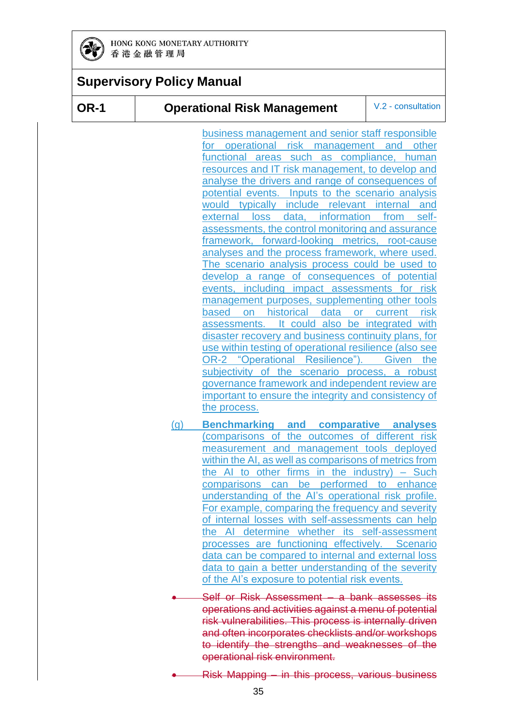

### **Supervisory Policy Manual**

#### **OR-1 Operational Risk Management** V.2 - consultation

business management and senior staff responsible operational risk management and other functional areas such as compliance, human resources and IT risk management, to develop and analyse the drivers and range of consequences of potential events. Inputs to the scenario analysis would typically include relevant internal and external loss data, information from selfassessments, the control monitoring and assurance framework, forward-looking metrics, root-cause analyses and the process framework, where used. The scenario analysis process could be used to develop a range of consequences of potential events, including impact assessments for risk management purposes, supplementing other tools based on historical data or current risk assessments. It could also be integrated with disaster recovery and business continuity plans, for use within testing of operational resilience (also see OR-2 "Operational Resilience"). Given the subjectivity of the scenario process, a robust governance framework and independent review are important to ensure the integrity and consistency of the process.

- (g) **Benchmarking and comparative analyses** (comparisons of the outcomes of different risk measurement and management tools deployed within the AI, as well as comparisons of metrics from the AI to other firms in the industry) – Such comparisons can be performed to enhance understanding of the AI's operational risk profile. For example, comparing the frequency and severity of internal losses with self-assessments can help the AI determine whether its self-assessment processes are functioning effectively. Scenario data can be compared to internal and external loss data to gain a better understanding of the severity of the AI's exposure to potential risk events.
- Self or Risk Assessment a bank assesses its operations and activities against a menu of potential risk vulnerabilities. This process is internally driven and often incorporates checklists and/or workshops to identify the strengths and weaknesses of the operational risk environment.

Risk Mapping – in this process, various business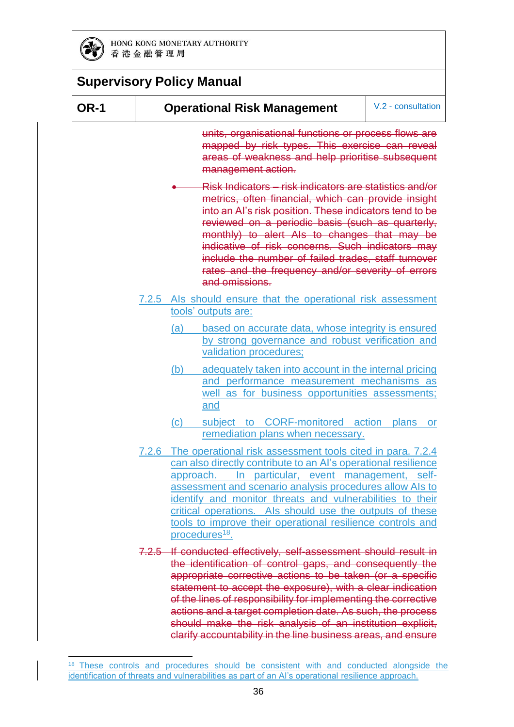

| <b>OR-1</b> |                            | <b>Operational Risk Management</b>                                                                                                                                                                                                                                                                                                                                                                                                                                         | V.2 - consultation |
|-------------|----------------------------|----------------------------------------------------------------------------------------------------------------------------------------------------------------------------------------------------------------------------------------------------------------------------------------------------------------------------------------------------------------------------------------------------------------------------------------------------------------------------|--------------------|
|             |                            | units, organisational functions or process flows are<br>mapped by risk types. This exercise can reveal<br>areas of weakness and help prioritise subsequent<br>management action.                                                                                                                                                                                                                                                                                           |                    |
|             |                            | Risk Indicators – risk indicators are statistics and/or<br>metrics, often financial, which can provide insight<br>into an Al's risk position. These indicators tend to be<br>reviewed on a periodic basis (such as quarterly,<br>monthly) to alert Als to changes that may be<br>indicative of risk concerns. Such indicators may<br>include the number of failed trades, staff turnover<br>rates and the frequency and/or severity of errors<br>and omissions.            |                    |
|             |                            | 7.2.5 Als should ensure that the operational risk assessment<br>tools' outputs are:                                                                                                                                                                                                                                                                                                                                                                                        |                    |
|             | (a)                        | based on accurate data, whose integrity is ensured<br>by strong governance and robust verification and<br>validation procedures;                                                                                                                                                                                                                                                                                                                                           |                    |
|             | (b)                        | adequately taken into account in the internal pricing<br>and performance measurement mechanisms as<br>well as for business opportunities assessments;<br>and                                                                                                                                                                                                                                                                                                               |                    |
|             | $\left( \mathrm{c}\right)$ | subject to CORF-monitored action plans<br>remediation plans when necessary.                                                                                                                                                                                                                                                                                                                                                                                                | <b>or</b>          |
|             |                            | 7.2.6 The operational risk assessment tools cited in para. 7.2.4<br>can also directly contribute to an Al's operational resilience<br>In particular, event management, self-<br>approach.<br>assessment and scenario analysis procedures allow AIs to<br>identify and monitor threats and vulnerabilities to their<br>critical operations. Als should use the outputs of these<br>tools to improve their operational resilience controls and<br>procedures <sup>18</sup> . |                    |
|             |                            | 7.2.5 If conducted effectively, self-assessment should result in<br>the identification of control gaps, and consequently the<br>appropriate corrective actions to be taken (or a specific<br>statement to accept the exposure), with a clear indication<br>of the lines of responsibility for implementing the corrective<br>actions and a target completion date. As such, the process                                                                                    |                    |

<sup>-</sup><sup>18</sup> These controls and procedures should be consistent with and conducted alongside the identification of threats and vulnerabilities as part of an AI's operational resilience approach.

should make the risk analysis of an institution explicit, clarify accountability in the line business areas, and ensure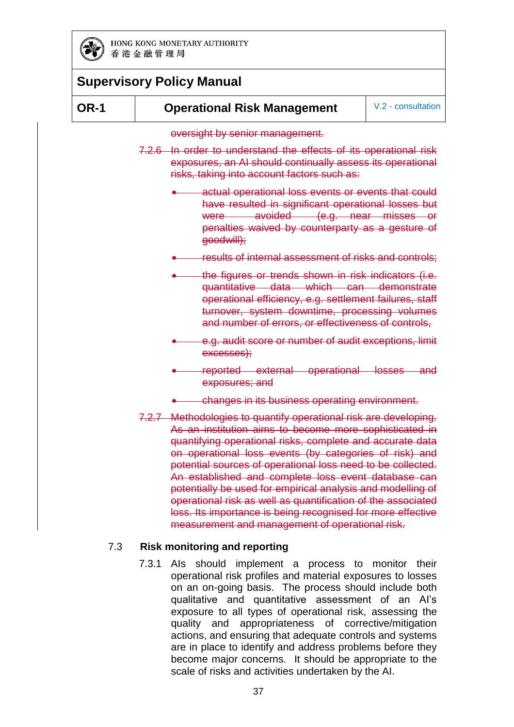

#### **OR-1 Operational Risk Management** V.2 - consultation

oversight by senior management.

- 7.2.6 In order to understand the effects of its operational risk exposures, an AI should continually assess its operational risks, taking into account factors such as:
	- actual operational loss events or events that could have resulted in significant operational losses but were avoided (e.g. near misses or penalties waived by counterparty as a gesture of goodwill);
	- results of internal assessment of risks and controls;
	- the figures or trends shown in risk indicators (i.e. quantitative data which can demonstrate operational efficiency, e.g. settlement failures, staff turnover, system downtime, processing volumes and number of errors, or effectiveness of controls,
	- e.g. audit score or number of audit exceptions, limit excesses);
	- reported external operational losses and exposures; and
	- changes in its business operating environment.
- 7.2.7 Methodologies to quantify operational risk are developing. As an institution aims to become more sophisticated in quantifying operational risks, complete and accurate data on operational loss events (by categories of risk) and potential sources of operational loss need to be collected. An established and complete loss event database can potentially be used for empirical analysis and modelling of operational risk as well as quantification of the associated loss. Its importance is being recognised for more effective measurement and management of operational risk.

#### 7.3 **Risk monitoring and reporting**

7.3.1 AIs should implement a process to monitor their operational risk profiles and material exposures to losses on an on-going basis. The process should include both qualitative and quantitative assessment of an AI's exposure to all types of operational risk, assessing the quality and appropriateness of corrective/mitigation actions, and ensuring that adequate controls and systems are in place to identify and address problems before they become major concerns. It should be appropriate to the scale of risks and activities undertaken by the AI.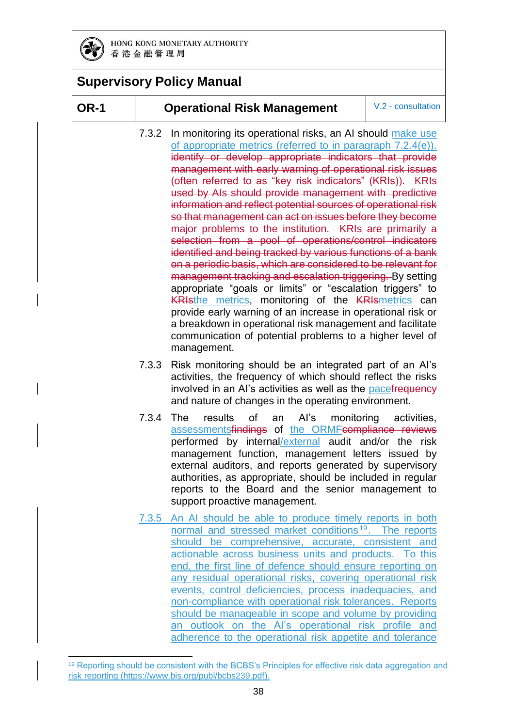

#### **OR-1 Operational Risk Management** V.2 - consultation

- 7.3.2 In monitoring its operational risks, an AI should make use of appropriate metrics (referred to in paragraph 7.2.4(e)). identify or develop appropriate indicators that provide management with early warning of operational risk issues (often referred to as "key risk indicators" (KRIs)). KRIs used by AIs should provide management with predictive information and reflect potential sources of operational risk so that management can act on issues before they become major problems to the institution. KRIs are primarily a selection from a pool of operations/control indicators identified and being tracked by various functions of a bank on a periodic basis, which are considered to be relevant for management tracking and escalation triggering. By setting appropriate "goals or limits" or "escalation triggers" to **KRIsthe metrics, monitoring of the KRIsmetrics can** provide early warning of an increase in operational risk or a breakdown in operational risk management and facilitate communication of potential problems to a higher level of management.
- 7.3.3 Risk monitoring should be an integrated part of an AI's activities, the frequency of which should reflect the risks involved in an AI's activities as well as the pacefrequency and nature of changes in the operating environment.
- 7.3.4 The results of an AI's monitoring activities, assessmentsfindings of the ORMFcompliance reviews performed by internal/external audit and/or the risk management function, management letters issued by external auditors, and reports generated by supervisory authorities, as appropriate, should be included in regular reports to the Board and the senior management to support proactive management.
- 7.3.5 An AI should be able to produce timely reports in both normal and stressed market conditions<sup>19</sup>. The reports should be comprehensive, accurate, consistent and actionable across business units and products. To this end, the first line of defence should ensure reporting on any residual operational risks, covering operational risk events, control deficiencies, process inadequacies, and non-compliance with operational risk tolerances. Reports should be manageable in scope and volume by providing an outlook on the AI's operational risk profile and adherence to the operational risk appetite and tolerance

<sup>-</sup><sup>19</sup> Reporting should be consistent with the BCBS's Principles for effective risk data aggregation and risk reporting [\(https://www.bis.org/publ/bcbs239.pdf\)](https://www.bis.org/publ/bcbs239.pdf).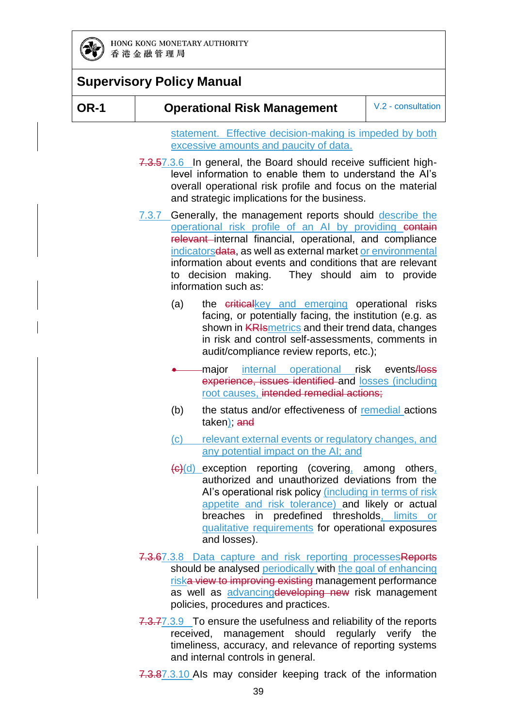

**OR-1 Operational Risk Management** V.2 - consultation

statement. Effective decision-making is impeded by both excessive amounts and paucity of data.

- 7.3.57.3.6 In general, the Board should receive sufficient highlevel information to enable them to understand the AI's overall operational risk profile and focus on the material and strategic implications for the business.
- 7.3.7 Generally, the management reports should describe the operational risk profile of an AI by providing contain relevant internal financial, operational, and compliance indicatorsdata, as well as external market or environmental information about events and conditions that are relevant to decision making. They should aim to provide information such as:
	- (a) the criticalkey and emerging operational risks facing, or potentially facing, the institution (e.g. as shown in **KRIsmetrics** and their trend data, changes in risk and control self-assessments, comments in audit/compliance review reports, etc.);
	- major internal operational risk events/loss experience, issues identified and losses (including root causes, intended remedial actions;
	- (b) the status and/or effectiveness of remedial actions taken); and
	- (c) relevant external events or regulatory changes, and any potential impact on the AI; and
	- $(c)$ (d) exception reporting (covering, among others, authorized and unauthorized deviations from the AI's operational risk policy *(including in terms of risk* appetite and risk tolerance) and likely or actual breaches in predefined thresholds, limits or qualitative requirements for operational exposures and losses).
- 7.3.67.3.8 Data capture and risk reporting processesReports should be analysed periodically with the goal of enhancing riska view to improving existing management performance as well as advancing developing new risk management policies, procedures and practices.
- 7.3.77.3.9 To ensure the usefulness and reliability of the reports received, management should regularly verify the timeliness, accuracy, and relevance of reporting systems and internal controls in general.

7.3.87.3.10 Als may consider keeping track of the information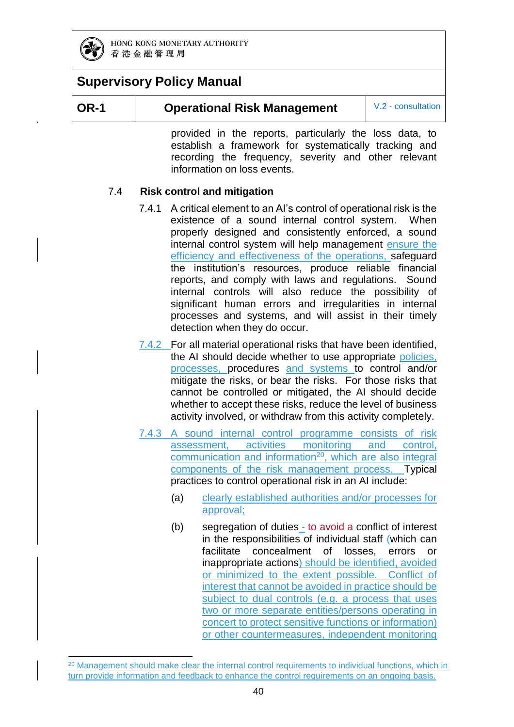

-

#### **OR-1 Operational Risk Management** V.2 - consultation

provided in the reports, particularly the loss data, to establish a framework for systematically tracking and recording the frequency, severity and other relevant information on loss events.

#### 7.4 **Risk control and mitigation**

- 7.4.1 A critical element to an AI's control of operational risk is the existence of a sound internal control system. When properly designed and consistently enforced, a sound internal control system will help management ensure the efficiency and effectiveness of the operations, safeguard the institution's resources, produce reliable financial reports, and comply with laws and regulations. Sound internal controls will also reduce the possibility of significant human errors and irregularities in internal processes and systems, and will assist in their timely detection when they do occur.
- 7.4.2 For all material operational risks that have been identified, the AI should decide whether to use appropriate policies, processes, procedures and systems to control and/or mitigate the risks, or bear the risks. For those risks that cannot be controlled or mitigated, the AI should decide whether to accept these risks, reduce the level of business activity involved, or withdraw from this activity completely.
- 7.4.3 A sound internal control programme consists of risk assessment, activities monitoring and control, communication and information<sup>20</sup>, which are also integral components of the risk management process. Typical practices to control operational risk in an AI include:
	- (a) clearly established authorities and/or processes for approval;
	- (b) segregation of duties  $-$  to avoid a conflict of interest in the responsibilities of individual staff (which can facilitate concealment of losses, errors or inappropriate actions) should be identified, avoided or minimized to the extent possible. Conflict of interest that cannot be avoided in practice should be subject to dual controls (e.g. a process that uses two or more separate entities/persons operating in concert to protect sensitive functions or information) or other countermeasures, independent monitoring

<sup>&</sup>lt;sup>20</sup> Management should make clear the internal control requirements to individual functions, which in turn provide information and feedback to enhance the control requirements on an ongoing basis.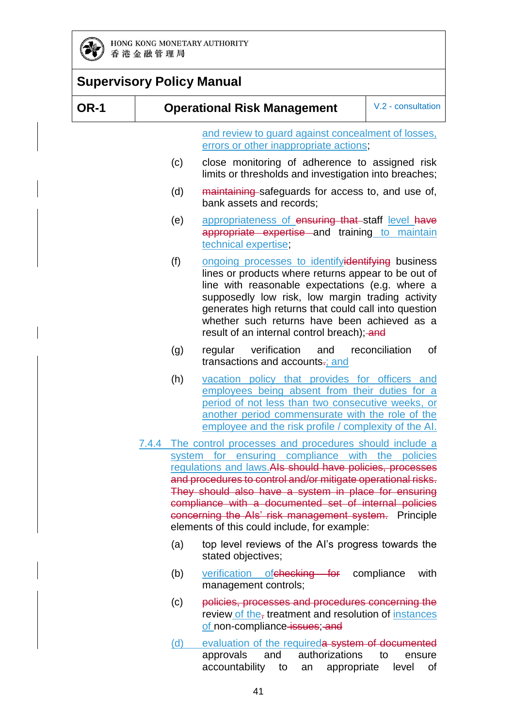

| <b>Supervisory Policy Manual</b> |  |                                                          |                                                                                                                                                                                                                                                                                                                                                                                                                                                                        |                      |
|----------------------------------|--|----------------------------------------------------------|------------------------------------------------------------------------------------------------------------------------------------------------------------------------------------------------------------------------------------------------------------------------------------------------------------------------------------------------------------------------------------------------------------------------------------------------------------------------|----------------------|
| <b>OR-1</b>                      |  | V.2 - consultation<br><b>Operational Risk Management</b> |                                                                                                                                                                                                                                                                                                                                                                                                                                                                        |                      |
|                                  |  |                                                          | and review to guard against concealment of losses,<br>errors or other inappropriate actions;                                                                                                                                                                                                                                                                                                                                                                           |                      |
|                                  |  | (c)                                                      | close monitoring of adherence to assigned risk<br>limits or thresholds and investigation into breaches;                                                                                                                                                                                                                                                                                                                                                                |                      |
|                                  |  | (d)                                                      | maintaining safeguards for access to, and use of,<br>bank assets and records;                                                                                                                                                                                                                                                                                                                                                                                          |                      |
|                                  |  | (e)                                                      | appropriateness of ensuring that staff level have<br>appropriate expertise and training to maintain<br>technical expertise;                                                                                                                                                                                                                                                                                                                                            |                      |
|                                  |  | (f)                                                      | ongoing processes to identifyidentifying business<br>lines or products where returns appear to be out of<br>line with reasonable expectations (e.g. where a<br>supposedly low risk, low margin trading activity<br>generates high returns that could call into question<br>whether such returns have been achieved as a<br>result of an internal control breach); and                                                                                                  |                      |
|                                  |  | (g)                                                      | verification<br>regular<br>and<br>transactions and accounts-; and                                                                                                                                                                                                                                                                                                                                                                                                      | reconciliation<br>of |
|                                  |  | (h)                                                      | vacation policy that provides for officers and<br>employees being absent from their duties for a<br>period of not less than two consecutive weeks, or<br>another period commensurate with the role of the<br>employee and the risk profile / complexity of the AI.                                                                                                                                                                                                     |                      |
|                                  |  |                                                          | 7.4.4 The control processes and procedures should include a<br>system for ensuring compliance with the policies<br>regulations and laws. Als should have policies, processes<br>and procedures to control and/or mitigate operational risks.<br>They should also have a system in place for ensuring<br>compliance with a documented set of internal policies<br>concerning the Als' risk management system. Principle<br>elements of this could include, for example: |                      |
|                                  |  | (a)                                                      | top level reviews of the Al's progress towards the<br>stated objectives;                                                                                                                                                                                                                                                                                                                                                                                               |                      |
|                                  |  | (b)                                                      | verification of checking for compliance<br>management controls;                                                                                                                                                                                                                                                                                                                                                                                                        | with                 |
|                                  |  | (c)                                                      | policies, processes and procedures concerning the<br>review of the, treatment and resolution of instances<br>of non-compliance-issues; and                                                                                                                                                                                                                                                                                                                             |                      |

(d) evaluation of the requireda system of documented approvals and authorizations to ensure accountability to an appropriate level of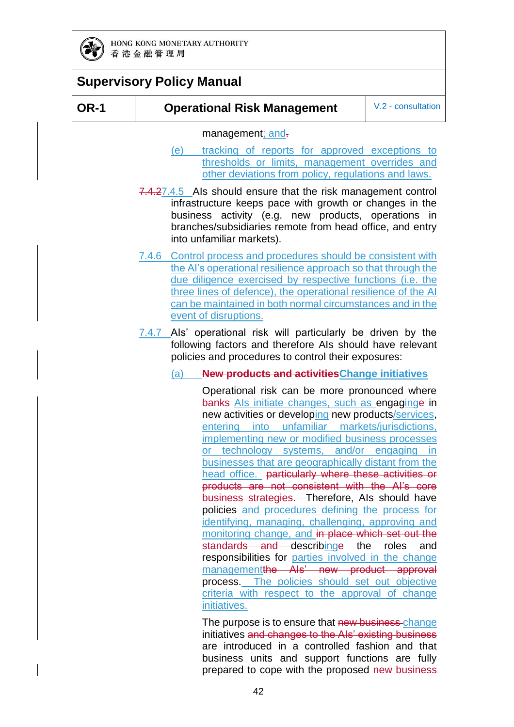

#### **OR-1 Operational Risk Management** V.2 - consultation

management; and.

- (e) tracking of reports for approved exceptions to thresholds or limits, management overrides and other deviations from policy, regulations and laws.
- 7.4.27.4.5 AIs should ensure that the risk management control infrastructure keeps pace with growth or changes in the business activity (e.g. new products, operations in branches/subsidiaries remote from head office, and entry into unfamiliar markets).
- 7.4.6 Control process and procedures should be consistent with the AI's operational resilience approach so that through the due diligence exercised by respective functions (i.e. the three lines of defence), the operational resilience of the AI can be maintained in both normal circumstances and in the event of disruptions.
- 7.4.7 Als' operational risk will particularly be driven by the following factors and therefore AIs should have relevant policies and procedures to control their exposures:

#### (a) **New products and activitiesChange initiatives**

Operational risk can be more pronounced where banks AIs initiate changes, such as engaginge in new activities or developing new products/services, entering into unfamiliar markets/jurisdictions, implementing new or modified business processes or technology systems, and/or engaging in businesses that are geographically distant from the head office. particularly where these activities or products are not consistent with the AI's core business strategies. Therefore, AIs should have policies and procedures defining the process for identifying, managing, challenging, approving and monitoring change, and in place which set out the standards and describinge the roles and responsibilities for parties involved in the change managementthe AIs' new product approval process. The policies should set out objective criteria with respect to the approval of change initiatives.

The purpose is to ensure that new business-change initiatives and changes to the AIs' existing business are introduced in a controlled fashion and that business units and support functions are fully prepared to cope with the proposed new business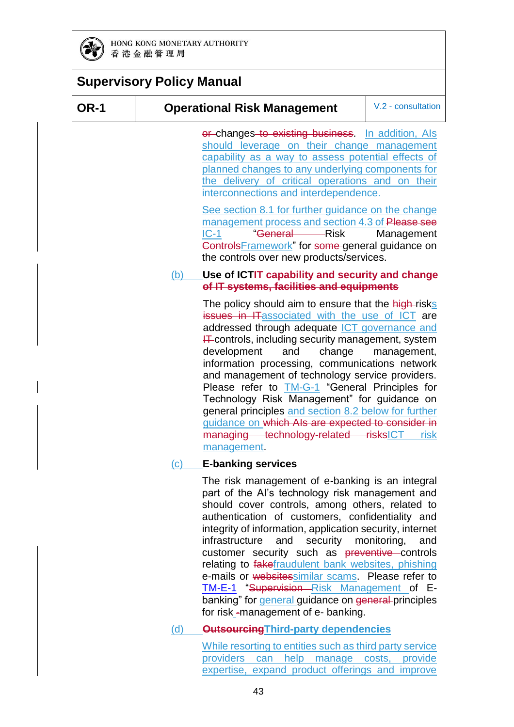

#### **Supervisory Policy Manual OR-1 Operational Risk Management** V.2 - consultation or changes to existing business. In addition, Als should leverage on their change management capability as a way to assess potential effects of planned changes to any underlying components for the delivery of critical operations and on their interconnections and interdependence. See section 8.1 for further guidance on the change management process and section 4.3 of Please see [IC-1](https://www.hkma.gov.hk/media/eng/doc/key-functions/banking-stability/supervisory-policy-manual/IC-1.pdf) "General Risk Management ControlsFramework" for some general guidance on the controls over new products/services. (b) **Use of ICTIT capability and security and change of IT systems, facilities and equipments** The policy should aim to ensure that the high-risks issues in ITassociated with the use of ICT are addressed through adequate ICT governance and  $H$  controls, including security management, system development and change management, information processing, communications network and management of technology service providers. Please refer to **[TM-G-1](https://www.hkma.gov.hk/media/eng/doc/key-functions/banking-stability/supervisory-policy-manual/TM-G-1.pdf)** "General Principles for Technology Risk Management" for guidance on general principles and section 8.2 below for further guidance on which AIs are expected to consider in managing technology-related risksICT risk management. (c) **E-banking services** The risk management of e-banking is an integral part of the AI's technology risk management and should cover controls, among others, related to authentication of customers, confidentiality and integrity of information, application security, internet infrastructure and security monitoring, and customer security such as preventive controls relating to fakefraudulent bank websites, phishing

e-mails or websitessimilar scams. Please refer to [TM-E-1](https://www.hkma.gov.hk/media/eng/doc/key-functions/banking-stability/supervisory-policy-manual/TM-E-1.pdf) "Supervision-Risk Management of Ebanking" for general guidance on general principles for risk -management of e- banking.

#### (d) **OutsourcingThird-party dependencies**

While resorting to entities such as third party service providers can help manage costs, provide expertise, expand product offerings and improve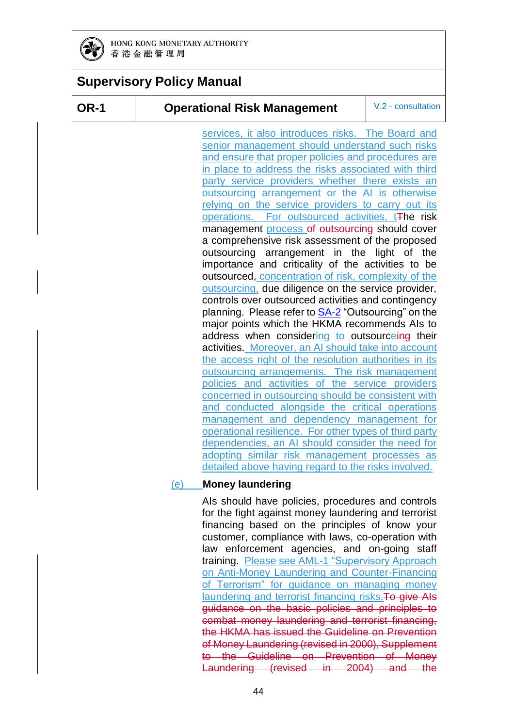

### **Supervisory Policy Manual**

#### **OR-1 Operational Risk Management** V.2 - consultation

services, it also introduces risks. The Board and senior management should understand such risks and ensure that proper policies and procedures are in place to address the risks associated with third party service providers whether there exists an outsourcing arrangement or the AI is otherwise relying on the service providers to carry out its operations. For outsourced activities, t<sub>The risk</sub> management process of outsourcing should cover a comprehensive risk assessment of the proposed outsourcing arrangement in the light of the importance and criticality of the activities to be outsourced, concentration of risk, complexity of the outsourcing, due diligence on the service provider, controls over outsourced activities and contingency planning. Please refer to [SA-2](https://www.hkma.gov.hk/media/eng/doc/key-functions/banking-stability/supervisory-policy-manual/SA-2.pdf) "Outsourcing" on the major points which the HKMA recommends AIs to address when considering to outsourceing their activities. Moreover, an AI should take into account the access right of the resolution authorities in its outsourcing arrangements. The risk management policies and activities of the service providers concerned in outsourcing should be consistent with and conducted alongside the critical operations management and dependency management for operational resilience. For other types of third party dependencies, an AI should consider the need for adopting similar risk management processes as detailed above having regard to the risks involved.

#### (e) **Money laundering**

AIs should have policies, procedures and controls for the fight against money laundering and terrorist financing based on the principles of know your customer, compliance with laws, co-operation with law enforcement agencies, and on-going staff training. Please see [AML-1](https://www.hkma.gov.hk/media/eng/doc/key-functions/banking-stability/supervisory-policy-manual/SPM-AML-1.pdf) "Supervisory Approach on Anti-Money Laundering and Counter-Financing of Terrorism" for guidance on managing money laundering and terrorist financing risks. To give AIs guidance on the basic policies and principles to combat money laundering and terrorist financing, the HKMA has issued the Guideline on Prevention of Money Laundering (revised in 2000), Supplement to the Guideline on Prevention of Money Laundering (revised in 2004) and the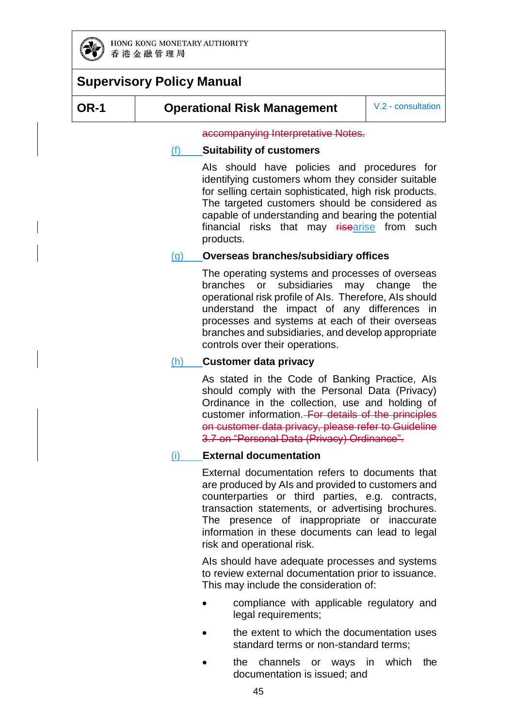

#### **OR-1 Operational Risk Management** V.2 - consultation

accompanying Interpretative Notes.

#### (f) **Suitability of customers**

AIs should have policies and procedures for identifying customers whom they consider suitable for selling certain sophisticated, high risk products. The targeted customers should be considered as capable of understanding and bearing the potential financial risks that may risearise from such products.

#### (g) **Overseas branches/subsidiary offices**

The operating systems and processes of overseas branches or subsidiaries may change the operational risk profile of AIs. Therefore, AIs should understand the impact of any differences in processes and systems at each of their overseas branches and subsidiaries, and develop appropriate controls over their operations.

#### (h) **Customer data privacy**

As stated in the Code of Banking Practice, AIs should comply with the Personal Data (Privacy) Ordinance in the collection, use and holding of customer information. For details of the principles on customer data privacy, please refer to Guideline 3.7 on "Personal Data (Privacy) Ordinance".

#### (i) **External documentation**

External documentation refers to documents that are produced by AIs and provided to customers and counterparties or third parties, e.g. contracts, transaction statements, or advertising brochures. The presence of inappropriate or inaccurate information in these documents can lead to legal risk and operational risk.

AIs should have adequate processes and systems to review external documentation prior to issuance. This may include the consideration of:

- compliance with applicable regulatory and legal requirements;
- the extent to which the documentation uses standard terms or non-standard terms;
- the channels or ways in which the documentation is issued; and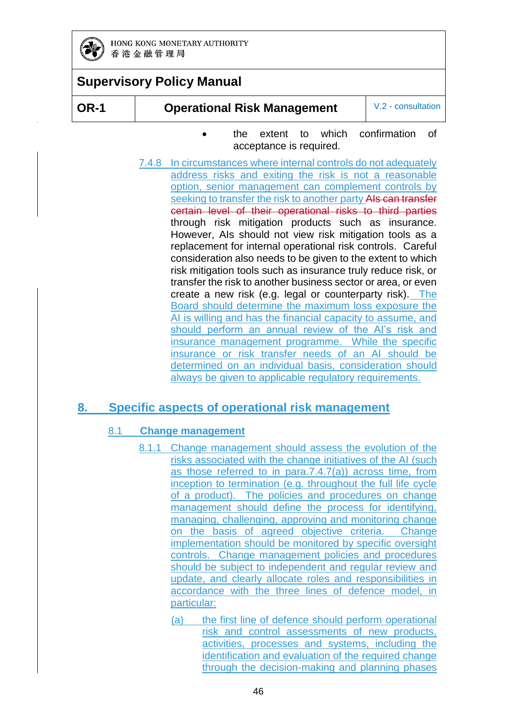

**OR-1 Operational Risk Management** V.2 - consultation

- the extent to which confirmation of acceptance is required.
- 7.4.8 In circumstances where internal controls do not adequately address risks and exiting the risk is not a reasonable option, senior management can complement controls by seeking to transfer the risk to another party AIs can transfer certain level of their operational risks to third parties through risk mitigation products such as insurance. However, AIs should not view risk mitigation tools as a replacement for internal operational risk controls. Careful consideration also needs to be given to the extent to which risk mitigation tools such as insurance truly reduce risk, or transfer the risk to another business sector or area, or even create a new risk (e.g. legal or counterparty risk). The Board should determine the maximum loss exposure the AI is willing and has the financial capacity to assume, and should perform an annual review of the AI's risk and insurance management programme. While the specific insurance or risk transfer needs of an AI should be determined on an individual basis, consideration should always be given to applicable regulatory requirements.

### **8. Specific aspects of operational risk management**

#### 8.1 **Change management**

- 8.1.1 Change management should assess the evolution of the risks associated with the change initiatives of the AI (such as those referred to in para.7.4.7(a)) across time, from inception to termination (e.g. throughout the full life cycle of a product). The policies and procedures on change management should define the process for identifying, managing, challenging, approving and monitoring change on the basis of agreed objective criteria. Change implementation should be monitored by specific oversight controls. Change management policies and procedures should be subject to independent and regular review and update, and clearly allocate roles and responsibilities in accordance with the three lines of defence model, in particular:
	- (a) the first line of defence should perform operational risk and control assessments of new products, activities, processes and systems, including the identification and evaluation of the required change through the decision-making and planning phases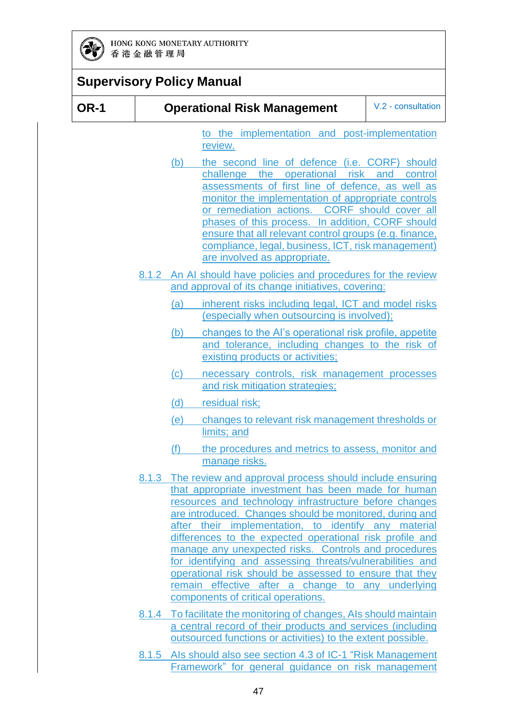

|             | <b>Supervisory Policy Manual</b>                                                                                                                                                                                                                                                                                                                                                                                                                                                                                                                                                                                                         |                    |
|-------------|------------------------------------------------------------------------------------------------------------------------------------------------------------------------------------------------------------------------------------------------------------------------------------------------------------------------------------------------------------------------------------------------------------------------------------------------------------------------------------------------------------------------------------------------------------------------------------------------------------------------------------------|--------------------|
| <b>OR-1</b> | <b>Operational Risk Management</b>                                                                                                                                                                                                                                                                                                                                                                                                                                                                                                                                                                                                       | V.2 - consultation |
|             | to the implementation and post-implementation<br>review.                                                                                                                                                                                                                                                                                                                                                                                                                                                                                                                                                                                 |                    |
|             | the second line of defence (i.e. CORF) should<br>(b)<br>challenge the operational risk<br>assessments of first line of defence, as well as<br>monitor the implementation of appropriate controls<br>or remediation actions. CORF should cover all<br>phases of this process. In addition, CORF should<br>ensure that all relevant control groups (e.g. finance,<br>compliance, legal, business, ICT, risk management)<br>are involved as appropriate.                                                                                                                                                                                    | and<br>control     |
|             | 8.1.2 An AI should have policies and procedures for the review<br>and approval of its change initiatives, covering:                                                                                                                                                                                                                                                                                                                                                                                                                                                                                                                      |                    |
|             | inherent risks including legal, ICT and model risks<br>(a)<br>(especially when outsourcing is involved);                                                                                                                                                                                                                                                                                                                                                                                                                                                                                                                                 |                    |
|             | changes to the Al's operational risk profile, appetite<br>(b)<br>and tolerance, including changes to the risk of<br>existing products or activities;                                                                                                                                                                                                                                                                                                                                                                                                                                                                                     |                    |
|             | (c)<br>necessary controls, risk management processes<br>and risk mitigation strategies;                                                                                                                                                                                                                                                                                                                                                                                                                                                                                                                                                  |                    |
|             | (d)<br>residual risk;                                                                                                                                                                                                                                                                                                                                                                                                                                                                                                                                                                                                                    |                    |
|             | changes to relevant risk management thresholds or<br><u>(e)</u><br>limits; and                                                                                                                                                                                                                                                                                                                                                                                                                                                                                                                                                           |                    |
|             | the procedures and metrics to assess, monitor and<br>(f)<br>manage risks.                                                                                                                                                                                                                                                                                                                                                                                                                                                                                                                                                                |                    |
|             | 8.1.3 The review and approval process should include ensuring<br>that appropriate investment has been made for human<br>resources and technology infrastructure before changes<br>are introduced. Changes should be monitored, during and<br>after their implementation, to identify any material<br>differences to the expected operational risk profile and<br>manage any unexpected risks. Controls and procedures<br>for identifying and assessing threats/vulnerabilities and<br>operational risk should be assessed to ensure that they<br>remain effective after a change to any underlying<br>components of critical operations. |                    |
|             | 8.1.4 To facilitate the monitoring of changes, Als should maintain<br>a central record of their products and services (including<br>outsourced functions or activities) to the extent possible.                                                                                                                                                                                                                                                                                                                                                                                                                                          |                    |

8.1.5 AIs should also see section 4.3 of [IC-1](https://www.hkma.gov.hk/media/eng/doc/key-functions/banking-stability/supervisory-policy-manual/IC-1.pdf) "Risk Management Framework" for general guidance on risk management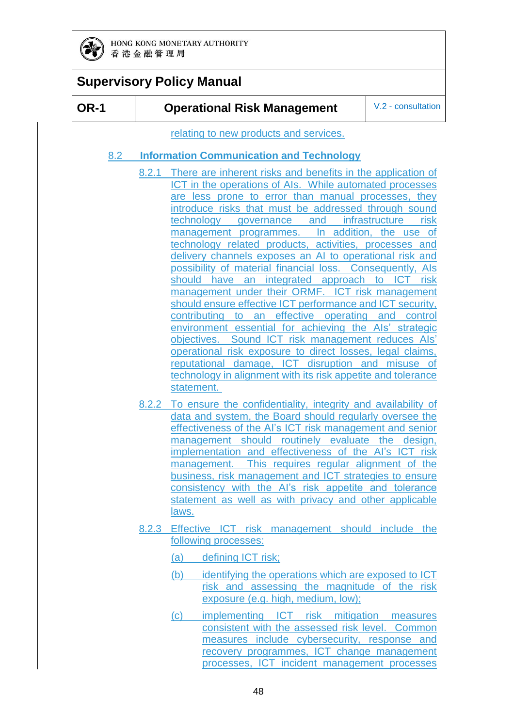

#### **OR-1 Operational Risk Management** V.2 - consultation

relating to new products and services.

#### 8.2 **Information Communication and Technology**

- 8.2.1 There are inherent risks and benefits in the application of ICT in the operations of AIs. While automated processes are less prone to error than manual processes, they introduce risks that must be addressed through sound technology governance and infrastructure risk management programmes. In addition, the use of technology related products, activities, processes and delivery channels exposes an AI to operational risk and possibility of material financial loss. Consequently, AIs should have an integrated approach to ICT risk management under their ORMF. ICT risk management should ensure effective ICT performance and ICT security, contributing to an effective operating and control environment essential for achieving the AIs' strategic objectives. Sound ICT risk management reduces AIs' operational risk exposure to direct losses, legal claims, reputational damage, ICT disruption and misuse of technology in alignment with its risk appetite and tolerance statement.
- 8.2.2 To ensure the confidentiality, integrity and availability of data and system, the Board should regularly oversee the effectiveness of the AI's ICT risk management and senior management should routinely evaluate the design, implementation and effectiveness of the AI's ICT risk management. This requires regular alignment of the business, risk management and ICT strategies to ensure consistency with the AI's risk appetite and tolerance statement as well as with privacy and other applicable laws.
- 8.2.3 Effective ICT risk management should include the following processes:
	- (a) defining ICT risk;
	- (b) identifying the operations which are exposed to ICT risk and assessing the magnitude of the risk exposure (e.g. high, medium, low);
	- (c) implementing ICT risk mitigation measures consistent with the assessed risk level. Common measures include cybersecurity, response and recovery programmes, ICT change management processes, ICT incident management processes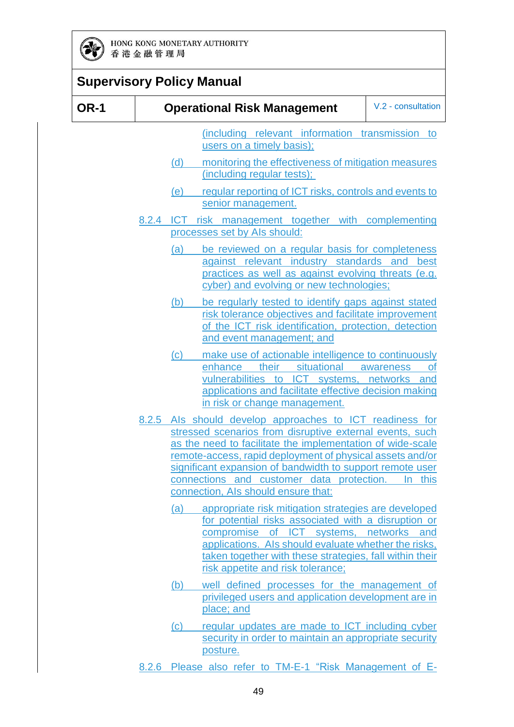

|             | <b>Supervisory Policy Manual</b>                                                                                                                                                                                                                                                                                                                                                                 |                        |
|-------------|--------------------------------------------------------------------------------------------------------------------------------------------------------------------------------------------------------------------------------------------------------------------------------------------------------------------------------------------------------------------------------------------------|------------------------|
| <b>OR-1</b> | <b>Operational Risk Management</b>                                                                                                                                                                                                                                                                                                                                                               | V.2 - consultation     |
|             | (including relevant information transmission to<br>users on a timely basis);<br>monitoring the effectiveness of mitigation measures<br>(d)                                                                                                                                                                                                                                                       |                        |
|             | (including regular tests);<br>regular reporting of ICT risks, controls and events to<br>(e)<br>senior management.                                                                                                                                                                                                                                                                                |                        |
|             | 8.2.4 ICT risk management together with complementing<br>processes set by Als should:                                                                                                                                                                                                                                                                                                            |                        |
|             | be reviewed on a regular basis for completeness<br>(a)<br>against relevant industry standards and<br>practices as well as against evolving threats (e.g.<br>cyber) and evolving or new technologies;                                                                                                                                                                                             | best                   |
|             | be regularly tested to identify gaps against stated<br>(b)<br>risk tolerance objectives and facilitate improvement<br>of the ICT risk identification, protection, detection<br>and event management; and                                                                                                                                                                                         |                        |
|             | (c)<br>make use of actionable intelligence to continuously<br>enhance their situational<br>vulnerabilities to ICT systems, networks and<br>applications and facilitate effective decision making<br>in risk or change management.                                                                                                                                                                | awareness<br><b>of</b> |
|             | 8.2.5 Als should develop approaches to ICT readiness for<br>stressed scenarios from disruptive external events, such<br>as the need to facilitate the implementation of wide-scale<br>remote-access, rapid deployment of physical assets and/or<br>significant expansion of bandwidth to support remote user<br>connections and customer data protection.<br>connection, Als should ensure that: | In this                |
|             | (a)<br>appropriate risk mitigation strategies are developed<br>for potential risks associated with a disruption or<br>compromise of ICT systems, networks and<br>applications. Als should evaluate whether the risks,<br>taken together with these strategies, fall within their<br>risk appetite and risk tolerance;                                                                            |                        |
|             | well defined processes for the management of<br>(b)<br>privileged users and application development are in<br>place; and                                                                                                                                                                                                                                                                         |                        |
|             | regular updates are made to ICT including cyber<br>$\left( \mathrm{c}\right)$<br>security in order to maintain an appropriate security<br>posture.                                                                                                                                                                                                                                               |                        |
|             | 8.2.6 Please also refer to TM-E-1 "Risk Management of E-                                                                                                                                                                                                                                                                                                                                         |                        |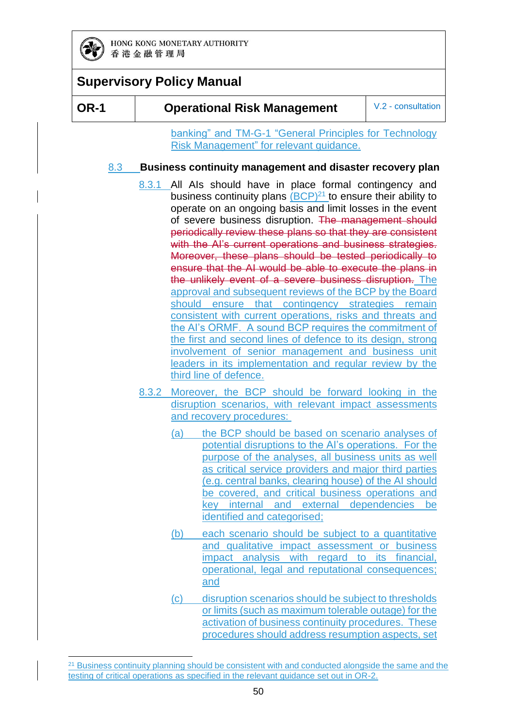

-

### **Supervisory Policy Manual**

**OR-1 Operational Risk Management** V.2 - consultation

banking" and [TM-G-1](https://www.hkma.gov.hk/media/eng/doc/key-functions/banking-stability/supervisory-policy-manual/TM-G-1.pdf) "General Principles for Technology Risk Management" for relevant guidance.

#### 8.3 **Business continuity management and disaster recovery plan**

- 8.3.1 All AIs should have in place formal contingency and business continuity plans  $(BCP)^{21}$  to ensure their ability to operate on an ongoing basis and limit losses in the event of severe business disruption. The management should periodically review these plans so that they are consistent with the AI's current operations and business strategies. Moreover, these plans should be tested periodically to ensure that the AI would be able to execute the plans in the unlikely event of a severe business disruption. The approval and subsequent reviews of the BCP by the Board should ensure that contingency strategies remain consistent with current operations, risks and threats and the AI's ORMF. A sound BCP requires the commitment of the first and second lines of defence to its design, strong involvement of senior management and business unit leaders in its implementation and regular review by the third line of defence.
- 8.3.2 Moreover, the BCP should be forward looking in the disruption scenarios, with relevant impact assessments and recovery procedures:
	- (a) the BCP should be based on scenario analyses of potential disruptions to the AI's operations. For the purpose of the analyses, all business units as well as critical service providers and major third parties (e.g. central banks, clearing house) of the AI should be covered, and critical business operations and key internal and external dependencies be identified and categorised;
	- (b) each scenario should be subject to a quantitative and qualitative impact assessment or business impact analysis with regard to its financial, operational, legal and reputational consequences; and
	- (c) disruption scenarios should be subject to thresholds or limits (such as maximum tolerable outage) for the activation of business continuity procedures. These procedures should address resumption aspects, set

<sup>&</sup>lt;sup>21</sup> Business continuity planning should be consistent with and conducted alongside the same and the testing of critical operations as specified in the relevant guidance set out in OR-2.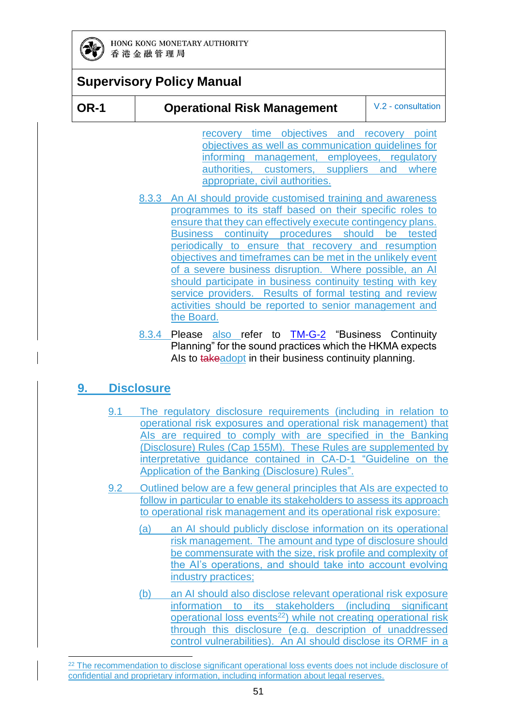

### **Supervisory Policy Manual**

#### **OR-1 Operational Risk Management** V.2 - consultation

recovery time objectives and recovery point objectives as well as communication guidelines for informing management, employees, regulatory authorities, customers, suppliers and where appropriate, civil authorities.

- 8.3.3 An AI should provide customised training and awareness programmes to its staff based on their specific roles to ensure that they can effectively execute contingency plans. Business continuity procedures should be tested periodically to ensure that recovery and resumption objectives and timeframes can be met in the unlikely event of a severe business disruption. Where possible, an AI should participate in business continuity testing with key service providers. Results of formal testing and review activities should be reported to senior management and the Board.
- 8.3.4 Please also refer to [TM-G-2](https://www.hkma.gov.hk/media/eng/doc/key-functions/banking-stability/supervisory-policy-manual/TM-G-2.pdf) "Business Continuity Planning" for the sound practices which the HKMA expects Als to takeadopt in their business continuity planning.

### **9. Disclosure**

-

- 9.1 The regulatory disclosure requirements (including in relation to operational risk exposures and operational risk management) that AIs are required to comply with are specified in the Banking (Disclosure) Rules (Cap 155M). These Rules are supplemented by interpretative guidance contained in [CA-D-1](https://www.hkma.gov.hk/media/eng/doc/key-functions/banking-stability/supervisory-policy-manual/CA-D-1.pdf) "Guideline on the Application of the Banking (Disclosure) Rules".
- 9.2 Outlined below are a few general principles that AIs are expected to follow in particular to enable its stakeholders to assess its approach to operational risk management and its operational risk exposure:
	- (a) an AI should publicly disclose information on its operational risk management. The amount and type of disclosure should be commensurate with the size, risk profile and complexity of the AI's operations, and should take into account evolving industry practices;
	- (b) an AI should also disclose relevant operational risk exposure information to its stakeholders (including significant operational loss events<sup>22</sup>) while not creating operational risk through this disclosure (e.g. description of unaddressed control vulnerabilities). An AI should disclose its ORMF in a

<sup>&</sup>lt;sup>22</sup> The recommendation to disclose significant operational loss events does not include disclosure of confidential and proprietary information, including information about legal reserves.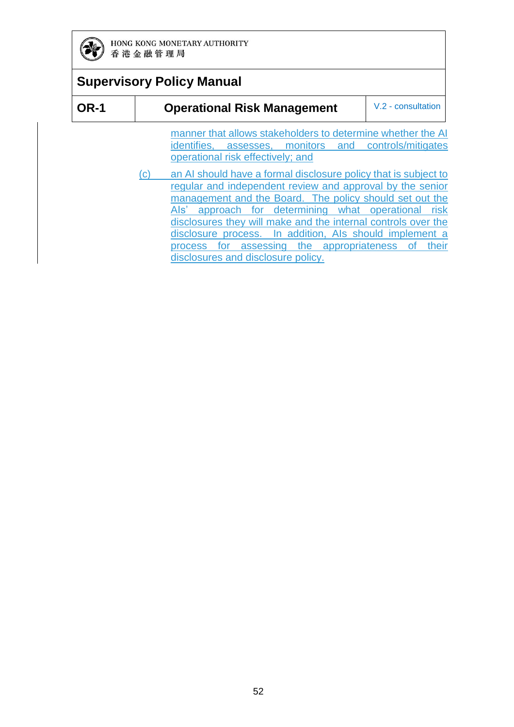

### **Supervisory Policy Manual**

| <b>OR-1</b> |                            | V.2 - consultation<br><b>Operational Risk Management</b>                                                                                                  |
|-------------|----------------------------|-----------------------------------------------------------------------------------------------------------------------------------------------------------|
|             |                            | manner that allows stakeholders to determine whether the AI<br>identifies, assesses, monitors and controls/mitigates<br>operational risk effectively; and |
|             | $\left( \mathrm{c}\right)$ | an AI should have a formal disclosure policy that is subject to<br>regular and independent review and approval by the senior                              |
|             |                            | management and the Board. The policy should set out the<br>approach for determining what operational risk<br>Als'                                         |

disclosures they will make and the internal controls over the disclosure process. In addition, AIs should implement a process for assessing the appropriateness of their disclosures and disclosure policy.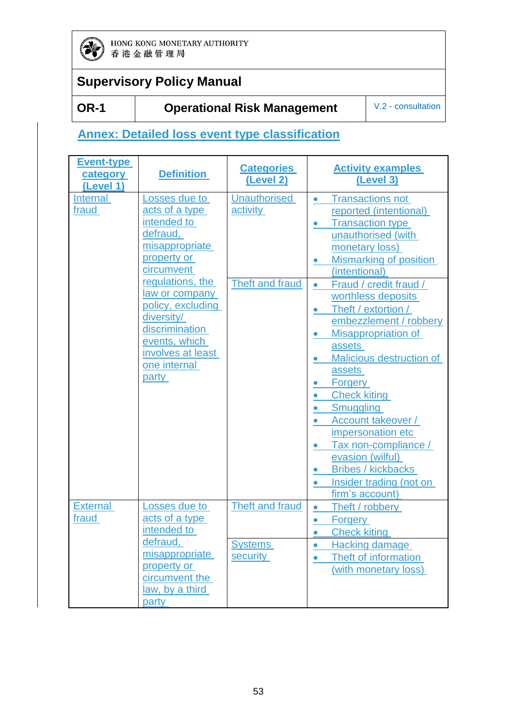

### **Supervisory Policy Manual**

### **OR-1 Operational Risk Management** V.2 - consultation

### **Annex: Detailed loss event type classification**

| <b>Event-type</b><br>category<br>(Level 1) | <b>Definition</b>                                                                                                                                                                                                                                                   | <b>Categories</b><br>(Level 2)                     | <b>Activity examples</b><br>(Level 3)                                                                                                                                                                                                                                                                                                                                                                                                                                                                                                                                                                                                                                                                                        |
|--------------------------------------------|---------------------------------------------------------------------------------------------------------------------------------------------------------------------------------------------------------------------------------------------------------------------|----------------------------------------------------|------------------------------------------------------------------------------------------------------------------------------------------------------------------------------------------------------------------------------------------------------------------------------------------------------------------------------------------------------------------------------------------------------------------------------------------------------------------------------------------------------------------------------------------------------------------------------------------------------------------------------------------------------------------------------------------------------------------------------|
| Internal<br>fraud                          | Losses due to<br>acts of a type<br>intended to<br>defraud,<br>misappropriate<br>property or<br>circumvent<br>regulations, the<br>law or company<br>policy, excluding<br>diversity/<br>discrimination<br>events, which<br>involves at least<br>one internal<br>party | <b>Unauthorised</b><br>activity<br>Theft and fraud | <b>Transactions not</b><br>$\bullet$<br>reported (intentional)<br><b>Transaction type</b><br>$\bullet$<br>unauthorised (with<br>monetary loss)<br><b>Mismarking of position</b><br>$\bullet$<br>(intentional)<br>Fraud / credit fraud /<br>$\bullet$<br>worthless deposits<br>Theft / extortion /<br>$\bullet$<br>embezzlement / robbery<br>Misappropriation of<br>$\bullet$<br>assets<br>Malicious destruction of<br>$\bullet$<br>assets<br><b>Forgery</b><br><b>Check kiting</b><br>$\bullet$<br><b>Smuggling</b><br>$\bullet$<br>Account takeover /<br>$\bullet$<br>impersonation etc<br>Tax non-compliance /<br>evasion (wilful)<br><b>Bribes / kickbacks</b><br>Insider trading (not on<br>$\bullet$<br>firm's account) |
| <b>External</b><br>fraud                   | Losses due to<br>acts of a type<br>intended to<br>defraud,<br>misappropriate<br>property or<br>circumvent the<br>law, by a third<br>party                                                                                                                           | Theft and fraud<br><b>Systems</b><br>security      | Theft / robbery<br>$\bullet$<br><b>Forgery</b><br>$\bullet$<br><b>Check kiting</b><br>$\bullet$<br>Hacking damage<br>$\bullet$<br>Theft of information<br>$\bullet$<br>(with monetary loss)                                                                                                                                                                                                                                                                                                                                                                                                                                                                                                                                  |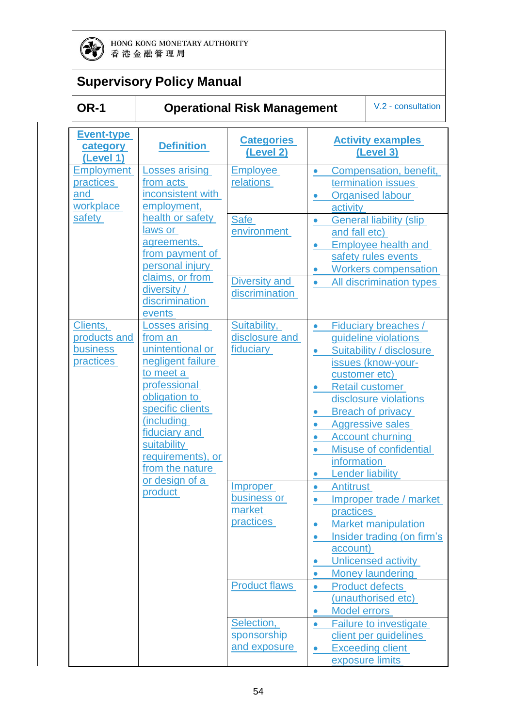

## **Supervisory Policy Manual**

### **OR-1 Operational Risk Management** V.2 - consultation

| <b>Event-type</b><br>category<br>(Level 1)               | <b>Definition</b>                                                                                                                                                                                                                    | <b>Categories</b><br>(Level 2)                                                                                                    | <b>Activity examples</b><br>(Level 3)                                                                                                                                                                                                                                                                                                                                 |
|----------------------------------------------------------|--------------------------------------------------------------------------------------------------------------------------------------------------------------------------------------------------------------------------------------|-----------------------------------------------------------------------------------------------------------------------------------|-----------------------------------------------------------------------------------------------------------------------------------------------------------------------------------------------------------------------------------------------------------------------------------------------------------------------------------------------------------------------|
| <b>Employment</b><br>practices<br>and<br>workplace       | <b>Losses arising</b><br>from acts<br>inconsistent with<br>employment,                                                                                                                                                               | <b>Employee</b><br>relations                                                                                                      | Compensation, benefit,<br>$\bullet$<br>termination issues<br><b>Organised labour</b><br>activity                                                                                                                                                                                                                                                                      |
| safety                                                   | health or safety<br>laws or<br>agreements,<br>from payment of<br>personal injury<br>claims, or from<br>diversity /<br>discrimination                                                                                                 | Safe<br>environment<br>Diversity and<br>discrimination                                                                            | <b>General liability (slip</b><br>and fall etc)<br><b>Employee health and</b><br>safety rules events<br><b>Workers compensation</b><br>All discrimination types<br>$\bullet$                                                                                                                                                                                          |
| Clients,<br>products and<br><b>business</b><br>practices | events<br>Losses arising<br>from an<br>unintentional or<br>negligent failure<br>to meet a<br>professional<br>obligation to<br>specific clients<br>(including<br>fiduciary and<br>suitability<br>requirements), or<br>from the nature | Suitability,<br>disclosure and<br>fiduciary                                                                                       | Fiduciary breaches /<br>guideline violations<br>Suitability / disclosure<br>$\bullet$<br>issues (know-your-<br>customer etc)<br>Retail customer<br>disclosure violations<br><b>Breach of privacy</b><br><b>Aggressive sales</b><br>$\bullet$<br><b>Account churning</b><br>$\bullet$<br>Misuse of confidential<br>information<br><b>Lender liability</b><br>$\bullet$ |
|                                                          | or design of a<br>product                                                                                                                                                                                                            | <u>Improper</u><br>business or<br>market<br><b>practices</b><br><b>Product flaws</b><br>Selection,<br>sponsorship<br>and exposure | Antitrust<br>$\bullet$<br>Improper trade / market<br>practices<br><b>Market manipulation</b><br>Insider trading (on firm's<br>account)<br>Unlicensed activity<br><b>Money laundering</b><br><b>Product defects</b><br>(unauthorised etc)<br><b>Model errors</b><br>Failure to investigate<br>client per guidelines<br><b>Exceeding client</b><br>exposure limits      |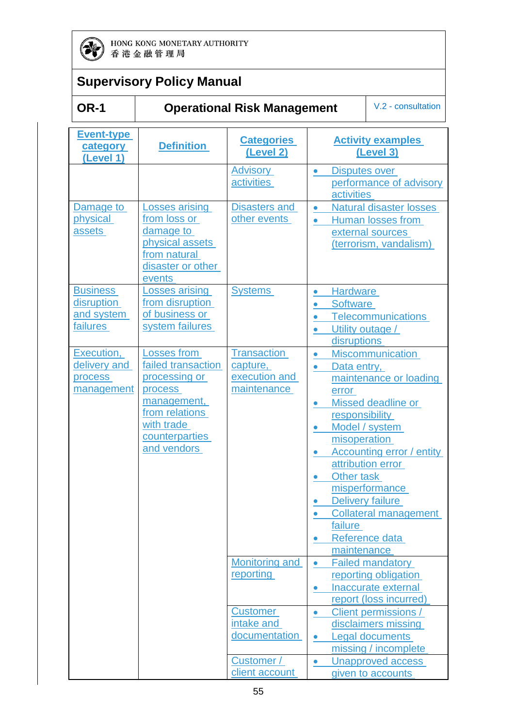

## **Supervisory Policy Manual**

### **Operational Risk Management** V.2 - consultation

| <b>Event-type</b><br>category<br>(Level 1)              | <b>Definition</b>                                                                                                                             | <b>Categories</b><br>(Level 2)                                      | <b>Activity examples</b><br>(Level 3)                                                                                                                                                                                                                                                                                                                                                            |
|---------------------------------------------------------|-----------------------------------------------------------------------------------------------------------------------------------------------|---------------------------------------------------------------------|--------------------------------------------------------------------------------------------------------------------------------------------------------------------------------------------------------------------------------------------------------------------------------------------------------------------------------------------------------------------------------------------------|
|                                                         |                                                                                                                                               | <b>Advisory</b><br><b>activities</b>                                | Disputes over<br>$\bullet$<br>performance of advisory<br><b>activities</b>                                                                                                                                                                                                                                                                                                                       |
| Damage to<br>physical<br>assets                         | <b>Losses arising</b><br>from loss or<br>damage to<br>physical assets<br>from natural<br>disaster or other<br>events                          | <b>Disasters and</b><br>other events                                | <b>Natural disaster losses</b><br>$\bullet$<br>Human losses from<br>$\bullet$<br>external sources<br>(terrorism, vandalism)                                                                                                                                                                                                                                                                      |
| <b>Business</b><br>disruption<br>and system<br>failures | <b>Losses arising</b><br>from disruption<br>of business or<br>system failures                                                                 | <b>Systems</b>                                                      | <b>Hardware</b><br>$\bullet$<br><b>Software</b><br><b>Telecommunications</b><br>Utility outage /<br>disruptions                                                                                                                                                                                                                                                                                  |
| Execution,<br>delivery and<br>process<br>management     | Losses from<br>failed transaction<br>processing or<br>process<br>management,<br>from relations<br>with trade<br>counterparties<br>and vendors | <b>Transaction</b><br>capture,<br>execution and<br>maintenance      | <b>Miscommunication</b><br>$\bullet$<br>Data entry,<br>$\bullet$<br>maintenance or loading<br>error<br>Missed deadline or<br>responsibility<br>Model / system<br>$\bullet$<br>misoperation<br>Accounting error / entity<br>attribution error<br>Other task<br>$\bullet$<br>misperformance<br><b>Delivery failure</b><br><b>Collateral management</b><br>failure<br>Reference data<br>maintenance |
|                                                         |                                                                                                                                               | <b>Monitoring and</b><br>reporting<br><b>Customer</b><br>intake and | <b>Failed mandatory</b><br>reporting obligation<br>Inaccurate external<br>report (loss incurred)<br>Client permissions /<br>disclaimers missing                                                                                                                                                                                                                                                  |
|                                                         |                                                                                                                                               | documentation<br>Customer /<br>client account                       | <b>Legal documents</b><br>$\bullet$<br>missing / incomplete<br><b>Unapproved access</b><br>given to accounts                                                                                                                                                                                                                                                                                     |